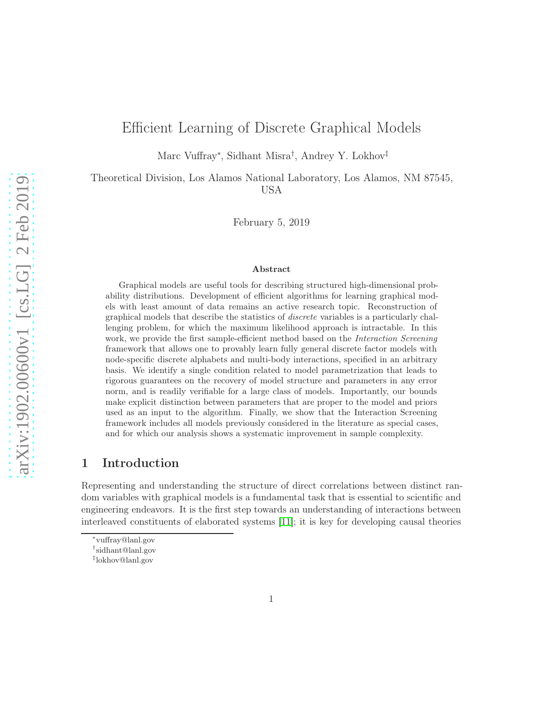# Efficient Learning of Discrete Graphical Models

Marc Vuffray<sup>∗</sup> , Sidhant Misra† , Andrey Y. Lokhov‡

Theoretical Division, Los Alamos National Laboratory, Los Alamos, NM 87545, USA

February 5, 2019

#### Abstract

Graphical models are useful tools for describing structured high-dimensional probability distributions. Development of efficient algorithms for learning graphical models with least amount of data remains an active research topic. Reconstruction of graphical models that describe the statistics of discrete variables is a particularly challenging problem, for which the maximum likelihood approach is intractable. In this work, we provide the first sample-efficient method based on the Interaction Screening framework that allows one to provably learn fully general discrete factor models with node-specific discrete alphabets and multi-body interactions, specified in an arbitrary basis. We identify a single condition related to model parametrization that leads to rigorous guarantees on the recovery of model structure and parameters in any error norm, and is readily verifiable for a large class of models. Importantly, our bounds make explicit distinction between parameters that are proper to the model and priors used as an input to the algorithm. Finally, we show that the Interaction Screening framework includes all models previously considered in the literature as special cases, and for which our analysis shows a systematic improvement in sample complexity.

## 1 Introduction

Representing and understanding the structure of direct correlations between distinct random variables with graphical models is a fundamental task that is essential to scientific and engineering endeavors. It is the first step towards an understanding of interactions between interleaved constituents of elaborated systems [\[11\]](#page-31-0); it is key for developing causal theories

<sup>∗</sup> vuffray@lanl.gov

<sup>†</sup> sidhant@lanl.gov

<sup>‡</sup> lokhov@lanl.gov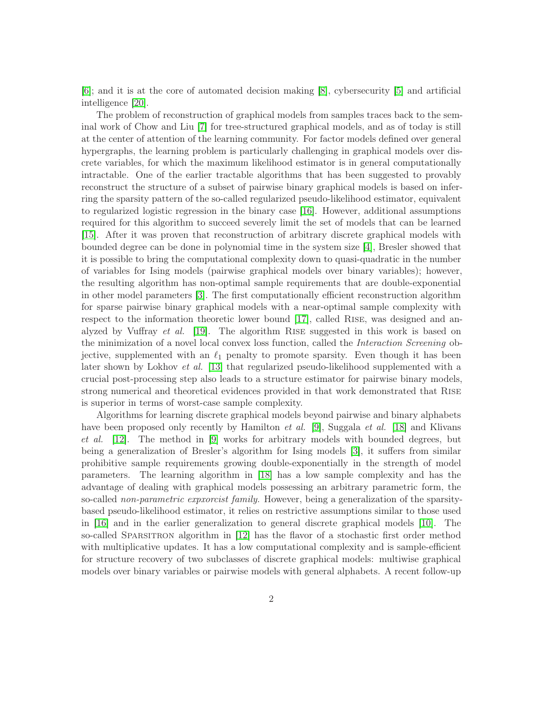[\[6\]](#page-30-0); and it is at the core of automated decision making [\[8\]](#page-31-1), cybersecurity [\[5\]](#page-30-1) and artificial intelligence [\[20\]](#page-32-0).

The problem of reconstruction of graphical models from samples traces back to the seminal work of Chow and Liu [\[7\]](#page-30-2) for tree-structured graphical models, and as of today is still at the center of attention of the learning community. For factor models defined over general hypergraphs, the learning problem is particularly challenging in graphical models over discrete variables, for which the maximum likelihood estimator is in general computationally intractable. One of the earlier tractable algorithms that has been suggested to provably reconstruct the structure of a subset of pairwise binary graphical models is based on inferring the sparsity pattern of the so-called regularized pseudo-likelihood estimator, equivalent to regularized logistic regression in the binary case [\[16\]](#page-31-2). However, additional assumptions required for this algorithm to succeed severely limit the set of models that can be learned [\[15\]](#page-31-3). After it was proven that reconstruction of arbitrary discrete graphical models with bounded degree can be done in polynomial time in the system size [\[4\]](#page-30-3), Bresler showed that it is possible to bring the computational complexity down to quasi-quadratic in the number of variables for Ising models (pairwise graphical models over binary variables); however, the resulting algorithm has non-optimal sample requirements that are double-exponential in other model parameters [\[3\]](#page-30-4). The first computationally efficient reconstruction algorithm for sparse pairwise binary graphical models with a near-optimal sample complexity with respect to the information theoretic lower bound [\[17\]](#page-31-4), called Rise, was designed and analyzed by Vuffray et al. [\[19\]](#page-32-1). The algorithm Rise suggested in this work is based on the minimization of a novel local convex loss function, called the Interaction Screening objective, supplemented with an  $\ell_1$  penalty to promote sparsity. Even though it has been later shown by Lokhov *et al.* [\[13\]](#page-31-5) that regularized pseudo-likelihood supplemented with a crucial post-processing step also leads to a structure estimator for pairwise binary models, strong numerical and theoretical evidences provided in that work demonstrated that Rise is superior in terms of worst-case sample complexity.

Algorithms for learning discrete graphical models beyond pairwise and binary alphabets have been proposed only recently by Hamilton *et al.* [\[9\]](#page-31-6), Suggala *et al.* [\[18\]](#page-32-2) and Klivans et al. [\[12\]](#page-31-7). The method in [\[9\]](#page-31-6) works for arbitrary models with bounded degrees, but being a generalization of Bresler's algorithm for Ising models [\[3\]](#page-30-4), it suffers from similar prohibitive sample requirements growing double-exponentially in the strength of model parameters. The learning algorithm in [\[18\]](#page-32-2) has a low sample complexity and has the advantage of dealing with graphical models possessing an arbitrary parametric form, the so-called non-parametric exprorcist family. However, being a generalization of the sparsitybased pseudo-likelihood estimator, it relies on restrictive assumptions similar to those used in [\[16\]](#page-31-2) and in the earlier generalization to general discrete graphical models [\[10\]](#page-31-8). The so-called Sparsitron algorithm in [\[12\]](#page-31-7) has the flavor of a stochastic first order method with multiplicative updates. It has a low computational complexity and is sample-efficient for structure recovery of two subclasses of discrete graphical models: multiwise graphical models over binary variables or pairwise models with general alphabets. A recent follow-up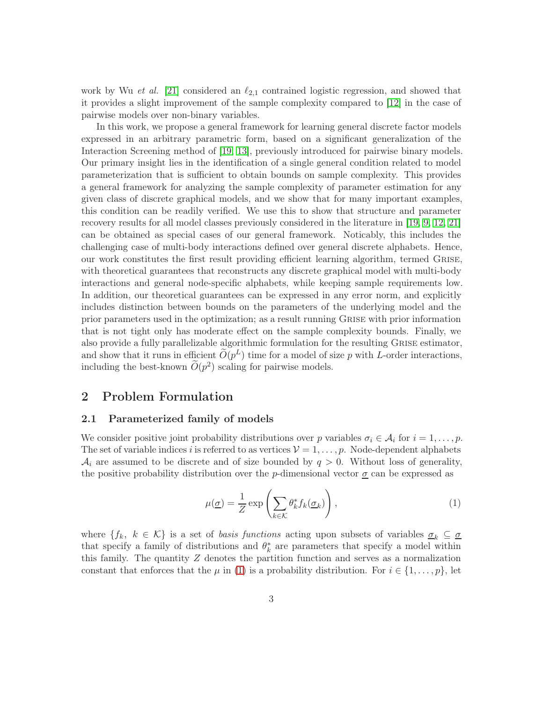work by Wu et al. [\[21\]](#page-32-3) considered an  $\ell_{2,1}$  contrained logistic regression, and showed that it provides a slight improvement of the sample complexity compared to [\[12\]](#page-31-7) in the case of pairwise models over non-binary variables.

In this work, we propose a general framework for learning general discrete factor models expressed in an arbitrary parametric form, based on a significant generalization of the Interaction Screening method of [\[19,](#page-32-1) [13\]](#page-31-5), previously introduced for pairwise binary models. Our primary insight lies in the identification of a single general condition related to model parameterization that is sufficient to obtain bounds on sample complexity. This provides a general framework for analyzing the sample complexity of parameter estimation for any given class of discrete graphical models, and we show that for many important examples, this condition can be readily verified. We use this to show that structure and parameter recovery results for all model classes previously considered in the literature in [\[19,](#page-32-1) [9,](#page-31-6) [12,](#page-31-7) [21\]](#page-32-3) can be obtained as special cases of our general framework. Noticably, this includes the challenging case of multi-body interactions defined over general discrete alphabets. Hence, our work constitutes the first result providing efficient learning algorithm, termed Grise, with theoretical guarantees that reconstructs any discrete graphical model with multi-body interactions and general node-specific alphabets, while keeping sample requirements low. In addition, our theoretical guarantees can be expressed in any error norm, and explicitly includes distinction between bounds on the parameters of the underlying model and the prior parameters used in the optimization; as a result running Grise with prior information that is not tight only has moderate effect on the sample complexity bounds. Finally, we also provide a fully parallelizable algorithmic formulation for the resulting Grise estimator, and show that it runs in efficient  $\tilde{O}(p^L)$  time for a model of size p with L-order interactions, including the best-known  $O(p^2)$  scaling for pairwise models.

### <span id="page-2-1"></span>2 Problem Formulation

### 2.1 Parameterized family of models

We consider positive joint probability distributions over p variables  $\sigma_i \in A_i$  for  $i = 1, \ldots, p$ . The set of variable indices i is referred to as vertices  $\mathcal{V} = 1, \ldots, p$ . Node-dependent alphabets  $\mathcal{A}_i$  are assumed to be discrete and of size bounded by  $q > 0$ . Without loss of generality, the positive probability distribution over the p-dimensional vector  $\sigma$  can be expressed as

<span id="page-2-0"></span>
$$
\mu(\underline{\sigma}) = \frac{1}{Z} \exp\left(\sum_{k \in \mathcal{K}} \theta_k^* f_k(\underline{\sigma}_k)\right),\tag{1}
$$

where  $\{f_k, k \in \mathcal{K}\}\$ is a set of *basis functions* acting upon subsets of variables  $\underline{\sigma}_k \subseteq \underline{\sigma}$ that specify a family of distributions and  $\theta_k^*$  are parameters that specify a model within this family. The quantity Z denotes the partition function and serves as a normalization constant that enforces that the  $\mu$  in [\(1\)](#page-2-0) is a probability distribution. For  $i \in \{1, \ldots, p\}$ , let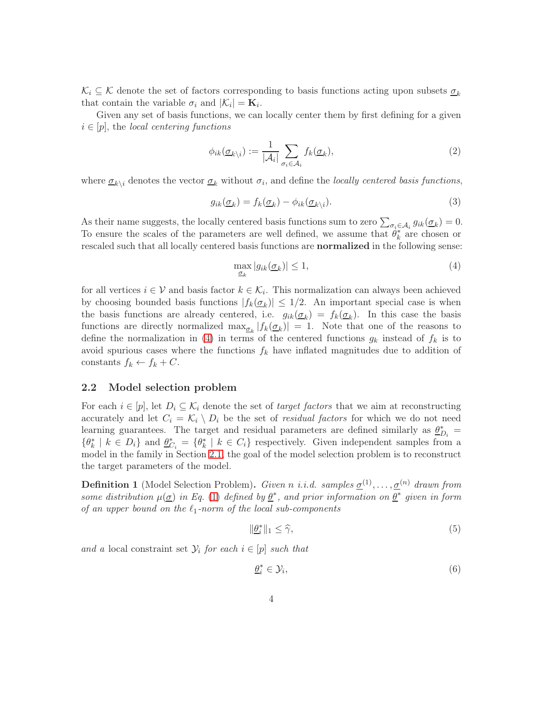$\mathcal{K}_i \subseteq \mathcal{K}$  denote the set of factors corresponding to basis functions acting upon subsets  $\sigma_k$ that contain the variable  $\sigma_i$  and  $|\mathcal{K}_i| = \mathbf{K}_i$ .

Given any set of basis functions, we can locally center them by first defining for a given  $i \in [p]$ , the local centering functions

$$
\phi_{ik}(\underline{\sigma}_{k\backslash i}) := \frac{1}{|\mathcal{A}_i|} \sum_{\sigma_i \in \mathcal{A}_i} f_k(\underline{\sigma}_k),\tag{2}
$$

where  $\underline{\sigma}_{k\setminus i}$  denotes the vector  $\underline{\sigma}_k$  without  $\sigma_i$ , and define the *locally centered basis functions*,

$$
g_{ik}(\underline{\sigma}_k) = f_k(\underline{\sigma}_k) - \phi_{ik}(\underline{\sigma}_{k\backslash i}).\tag{3}
$$

As their name suggests, the locally centered basis functions sum to zero  $\sum_{\sigma_i \in A_i} g_{ik}(\underline{\sigma}_k) = 0$ . To ensure the scales of the parameters are well defined, we assume that  $\hat{\theta}_k^*$  are chosen or rescaled such that all locally centered basis functions are normalized in the following sense:

<span id="page-3-4"></span><span id="page-3-0"></span>
$$
\max_{\underline{\sigma}_k} |g_{ik}(\underline{\sigma}_k)| \le 1,\tag{4}
$$

for all vertices  $i \in V$  and basis factor  $k \in \mathcal{K}_i$ . This normalization can always been achieved by choosing bounded basis functions  $|f_k(\underline{\sigma}_k)| \leq 1/2$ . An important special case is when the basis functions are already centered, i.e.  $g_{ik}(\underline{\sigma}_k) = f_k(\underline{\sigma}_k)$ . In this case the basis functions are directly normalized  $\max_{\mathcal{Q}_k} |f_k(\mathcal{Q}_k)| = 1$ . Note that one of the reasons to define the normalization in [\(4\)](#page-3-0) in terms of the centered functions  $g_k$  instead of  $f_k$  is to avoid spurious cases where the functions  $f_k$  have inflated magnitudes due to addition of constants  $f_k \leftarrow f_k + C$ .

#### <span id="page-3-2"></span>2.2 Model selection problem

For each  $i \in [p]$ , let  $D_i \subseteq \mathcal{K}_i$  denote the set of *target factors* that we aim at reconstructing accurately and let  $C_i = \mathcal{K}_i \setminus D_i$  be the set of *residual factors* for which we do not need learning guarantees. The target and residual parameters are defined similarly as  $\underline{\theta}_{D_i}^* =$  $\{\theta_k^* \mid k \in D_i\}$  and  $\underline{\theta}_{C_i}^* = \{\theta_k^* \mid k \in C_i\}$  respectively. Given independent samples from a model in the family in Section [2.1,](#page-2-1) the goal of the model selection problem is to reconstruct the target parameters of the model.

<span id="page-3-3"></span>**Definition 1** (Model Selection Problem). Given n i.i.d. samples  $\underline{\sigma}^{(1)}, \ldots, \underline{\sigma}^{(n)}$  drawn from some distribution  $\mu(\underline{\sigma})$  in Eq. [\(1\)](#page-2-0) defined by  $\underline{\theta}^*$ , and prior information on  $\underline{\theta}^*$  given in form of an upper bound on the  $\ell_1$ -norm of the local sub-components

$$
\|\underline{\theta}_i^*\|_1 \le \widehat{\gamma},\tag{5}
$$

and a local constraint set  $\mathcal{Y}_i$  for each  $i \in [p]$  such that

<span id="page-3-5"></span><span id="page-3-1"></span>
$$
\underline{\theta}_i^* \in \mathcal{Y}_i,\tag{6}
$$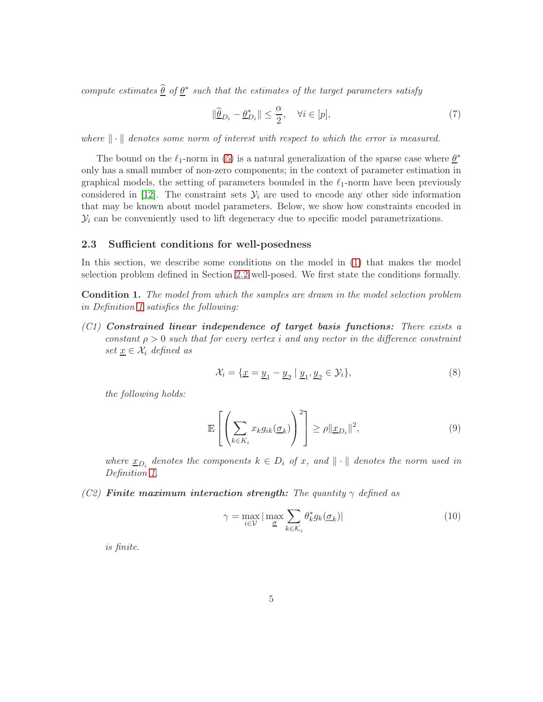compute estimates  $\widehat{\theta}$  of  $\underline{\theta}^*$  such that the estimates of the target parameters satisfy

<span id="page-4-0"></span>
$$
\|\widehat{\underline{\theta}}_{D_i} - \underline{\theta}_{D_i}^*\| \le \frac{\alpha}{2}, \quad \forall i \in [p],\tag{7}
$$

where  $\|\cdot\|$  denotes some norm of interest with respect to which the error is measured.

The bound on the  $\ell_1$ -norm in [\(5\)](#page-3-1) is a natural generalization of the sparse case where  $\underline{\theta}^*$ only has a small number of non-zero components; in the context of parameter estimation in graphical models, the setting of parameters bounded in the  $\ell_1$ -norm have been previously considered in [\[12\]](#page-31-7). The constraint sets  $\mathcal{Y}_i$  are used to encode any other side information that may be known about model parameters. Below, we show how constraints encoded in  $\mathcal{Y}_i$  can be conveniently used to lift degeneracy due to specific model parametrizations.

#### 2.3 Sufficient conditions for well-posedness

In this section, we describe some conditions on the model in [\(1\)](#page-2-0) that makes the model selection problem defined in Section [2.2](#page-3-2) well-posed. We first state the conditions formally.

<span id="page-4-1"></span>Condition 1. The model from which the samples are drawn in the model selection problem in Definition [1](#page-3-3) satisfies the following:

 $(C1)$  Constrained linear independence of target basis functions: There exists a constant  $\rho > 0$  such that for every vertex i and any vector in the difference constraint set  $x \in \mathcal{X}_i$  defined as

$$
\mathcal{X}_i = \{ \underline{x} = \underline{y}_1 - \underline{y}_2 \mid \underline{y}_1, \underline{y}_2 \in \mathcal{Y}_i \},\tag{8}
$$

the following holds:

$$
\mathbb{E}\left[\left(\sum_{k\in K_i} x_k g_{ik}(\underline{\sigma}_k)\right)^2\right] \ge \rho \|\underline{x}_{D_i}\|^2,\tag{9}
$$

where  $\underline{x}_{D_i}$  denotes the components  $k \in D_i$  of x, and  $\|\cdot\|$  denotes the norm used in Definition [1.](#page-3-3)

(C2) Finite maximum interaction strength: The quantity  $\gamma$  defined as

$$
\gamma = \max_{i \in \mathcal{V}} |\max_{\underline{\sigma}} \sum_{k \in \mathcal{K}_i} \theta_k^* g_k(\underline{\sigma}_k)| \tag{10}
$$

is finite.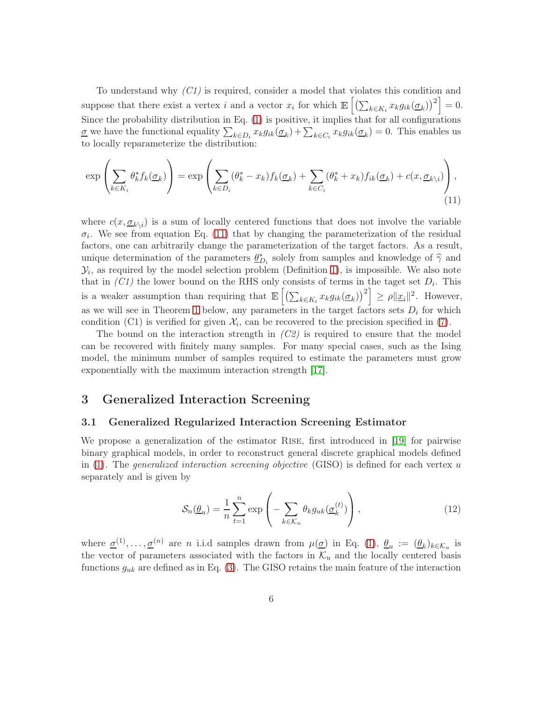To understand why  $(Cl)$  is required, consider a model that violates this condition and suppose that there exist a vertex i and a vector  $x_i$  for which  $\mathbb{E}\left[\left(\sum_{k\in K_i} x_k g_{ik}(\underline{\sigma}_k)\right)^2\right] = 0.$ Since the probability distribution in Eq. [\(1\)](#page-2-0) is positive, it implies that for all configurations  $\underline{\sigma}$  we have the functional equality  $\sum_{k \in D_i} x_k g_{ik}(\underline{\sigma}_k) + \sum_{k \in C_i} x_k g_{ik}(\underline{\sigma}_k) = 0$ . This enables us to locally reparameterize the distribution:

<span id="page-5-0"></span>
$$
\exp\left(\sum_{k\in K_i} \theta_k^* f_k(\underline{\sigma}_k)\right) = \exp\left(\sum_{k\in D_i} (\theta_k^* - x_k) f_k(\underline{\sigma}_k) + \sum_{k\in C_i} (\theta_k^* + x_k) f_{ik}(\underline{\sigma}_k) + c(x, \underline{\sigma}_k)_i\right),\tag{11}
$$

where  $c(x, \underline{\sigma}_{k\setminus i})$  is a sum of locally centered functions that does not involve the variable  $\sigma_i$ . We see from equation Eq. [\(11\)](#page-5-0) that by changing the parameterization of the residual factors, one can arbitrarily change the parameterization of the target factors. As a result, unique determination of the parameters  $\underline{\theta}_{D_i}^*$  solely from samples and knowledge of  $\hat{\gamma}$  and  $\mathcal{Y}_i$ , as required by the model selection problem (Definition [1\)](#page-3-3), is impossible. We also note that in  $(Cl)$  the lower bound on the RHS only consists of terms in the taget set  $D_i$ . This is a weaker assumption than requiring that  $\mathbb{E}\left[\left(\sum_{k\in K_i} x_k g_{ik}(\underline{\sigma}_k)\right)^2\right] \geq \rho \|\underline{x}_i\|^2$ . However, as we will see in Theorem [1](#page-6-0) below, any parameters in the target factors sets  $D_i$  for which condition (C1) is verified for given  $\mathcal{X}_i$ , can be recovered to the precision specified in [\(7\)](#page-4-0).

The bound on the interaction strength in  $(C2)$  is required to ensure that the model can be recovered with finitely many samples. For many special cases, such as the Ising model, the minimum number of samples required to estimate the parameters must grow exponentially with the maximum interaction strength [\[17\]](#page-31-4).

## 3 Generalized Interaction Screening

#### 3.1 Generalized Regularized Interaction Screening Estimator

We propose a generalization of the estimator Rise, first introduced in [\[19\]](#page-32-1) for pairwise binary graphical models, in order to reconstruct general discrete graphical models defined in [\(1\)](#page-2-0). The *generalized interaction screening objective* (GISO) is defined for each vertex u separately and is given by

$$
S_n(\underline{\theta}_u) = \frac{1}{n} \sum_{t=1}^n \exp\left(-\sum_{k \in \mathcal{K}_u} \theta_k g_{uk}(\underline{\sigma}_k^{(t)})\right),\tag{12}
$$

where  $\underline{\sigma}^{(1)}, \dots, \underline{\sigma}^{(n)}$  are *n* i.i.d samples drawn from  $\mu(\underline{\sigma})$  in Eq. [\(1\)](#page-2-0),  $\underline{\theta}_u := (\underline{\theta}_k)_{k \in \mathcal{K}_u}$  is the vector of parameters associated with the factors in  $\mathcal{K}_u$  and the locally centered basis functions  $g_{uk}$  are defined as in Eq. [\(3\)](#page-3-4). The GISO retains the main feature of the interaction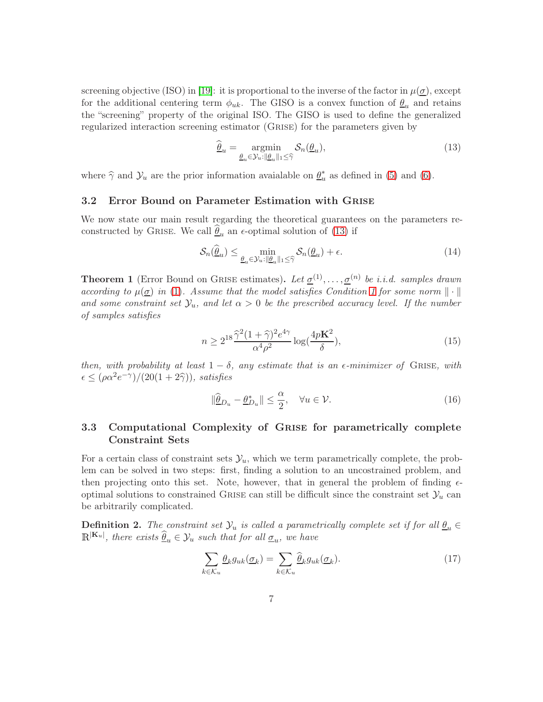screening objective (ISO) in [\[19\]](#page-32-1): it is proportional to the inverse of the factor in  $\mu(\underline{\sigma})$ , except for the additional centering term  $\phi_{uk}$ . The GISO is a convex function of  $\underline{\theta}_u$  and retains the "screening" property of the original ISO. The GISO is used to define the generalized regularized interaction screening estimator (Grise) for the parameters given by

<span id="page-6-1"></span>
$$
\widehat{\underline{\theta}}_u = \underset{\underline{\theta}_u \in \mathcal{Y}_u : ||\underline{\theta}_u||_1 \leq \widehat{\gamma}}{\operatorname{argmin}} \mathcal{S}_n(\underline{\theta}_u),\tag{13}
$$

where  $\hat{\gamma}$  and  $\mathcal{Y}_u$  are the prior information avaialable on  $\underline{\theta}_u^*$  as defined in [\(5\)](#page-3-1) and [\(6\)](#page-3-5).

#### 3.2 Error Bound on Parameter Estimation with Grise

We now state our main result regarding the theoretical guarantees on the parameters reconstructed by GRISE. We call  $\hat{\theta}_u$  an  $\epsilon$ -optimal solution of [\(13\)](#page-6-1) if

$$
\mathcal{S}_n(\widehat{\underline{\theta}}_u) \le \min_{\underline{\theta}_u \in \mathcal{Y}_u : \|\underline{\theta}_u\|_1 \le \widehat{\gamma}} \mathcal{S}_n(\underline{\theta}_u) + \epsilon.
$$
\n(14)

<span id="page-6-0"></span>**Theorem 1** (Error Bound on GRISE estimates). Let  $\underline{\sigma}^{(1)}, \ldots, \underline{\sigma}^{(n)}$  be *i.i.d.* samples drawn according to  $\mu(\underline{\sigma})$  in [\(1\)](#page-2-0). Assume that the model satisfies Condition [1](#page-4-1) for some norm  $\|\cdot\|$ and some constraint set  $\mathcal{Y}_u$ , and let  $\alpha > 0$  be the prescribed accuracy level. If the number of samples satisfies

$$
n \ge 2^{18} \frac{\hat{\gamma}^2 (1+\hat{\gamma})^2 e^{4\gamma}}{\alpha^4 \rho^2} \log(\frac{4p\mathbf{K}^2}{\delta}),\tag{15}
$$

then, with probability at least  $1 - \delta$ , any estimate that is an  $\epsilon$ -minimizer of GRISE, with  $\epsilon \leq (\rho \alpha^2 e^{-\gamma})/(20(1+2\hat{\gamma}))$ , satisfies

$$
\|\widehat{\underline{\theta}}_{D_u} - \underline{\theta}_{D_u}^*\| \le \frac{\alpha}{2}, \quad \forall u \in \mathcal{V}.\tag{16}
$$

### 3.3 Computational Complexity of Grise for parametrically complete Constraint Sets

For a certain class of constraint sets  $\mathcal{Y}_u$ , which we term parametrically complete, the problem can be solved in two steps: first, finding a solution to an uncostrained problem, and then projecting onto this set. Note, however, that in general the problem of finding  $\epsilon$ optimal solutions to constrained GRISE can still be difficult since the constraint set  $\mathcal{Y}_u$  can be arbitrarily complicated.

<span id="page-6-3"></span>**Definition 2.** The constraint set  $\mathcal{Y}_u$  is called a parametrically complete set if for all  $\underline{\theta}_u \in$  $\mathbb{R}^{|\mathbf{K}_u|}$ , there exists  $\widehat{\theta}_u \in \mathcal{Y}_u$  such that for all  $\underline{\sigma}_u$ , we have

<span id="page-6-2"></span>
$$
\sum_{k \in \mathcal{K}_u} \underline{\theta}_k g_{uk}(\underline{\sigma}_k) = \sum_{k \in \mathcal{K}_u} \widehat{\underline{\theta}}_k g_{uk}(\underline{\sigma}_k). \tag{17}
$$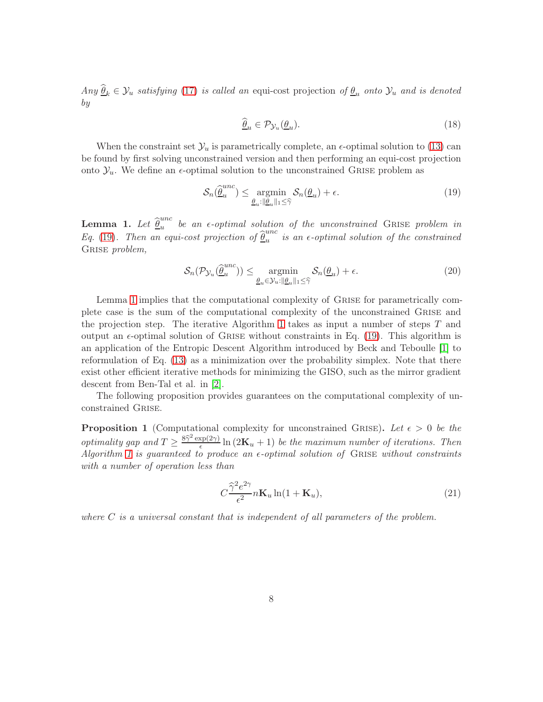Any  $\hat{\theta}_k \in \mathcal{Y}_u$  satisfying [\(17\)](#page-6-2) is called an equi-cost projection of  $\underline{\theta}_u$  onto  $\mathcal{Y}_u$  and is denoted by

<span id="page-7-0"></span>
$$
\widehat{\underline{\theta}}_u \in \mathcal{P}_{\mathcal{Y}_u}(\underline{\theta}_u). \tag{18}
$$

When the constraint set  $\mathcal{Y}_u$  is parametrically complete, an  $\epsilon$ -optimal solution to [\(13\)](#page-6-1) can be found by first solving unconstrained version and then performing an equi-cost projection onto  $\mathcal{Y}_u$ . We define an  $\epsilon$ -optimal solution to the unconstrained GRISE problem as

$$
\mathcal{S}_n(\hat{\underline{\theta}}_u^{unc}) \le \underset{\underline{\theta}_u: ||\underline{\theta}_u||_1 \le \widehat{\gamma}}{\operatorname{argmin}} \mathcal{S}_n(\underline{\theta}_u) + \epsilon. \tag{19}
$$

<span id="page-7-1"></span>Lemma 1. Let  $\widehat{\underline{\theta}}_u^{unc}$  $\sum_{u=0}^{unc}$  be an  $\epsilon$ -optimal solution of the unconstrained GRISE problem in Eq. [\(19\)](#page-7-0). Then an equi-cost projection of  $\hat{\theta}_u^{unc}$  $\frac{u}{u}$  is an  $\epsilon$ -optimal solution of the constrained GRISE *problem*,

$$
\mathcal{S}_n(\mathcal{P}_{\mathcal{Y}_u}(\hat{\underline{\theta}}_u^{\text{unc}})) \le \underset{\underline{\theta}_u \in \mathcal{Y}_u : ||\underline{\theta}_u||_1 \le \widehat{\gamma}}{\operatorname{argmin}} \mathcal{S}_n(\underline{\theta}_u) + \epsilon.
$$
\n(20)

Lemma [1](#page-7-1) implies that the computational complexity of Grise for parametrically complete case is the sum of the computational complexity of the unconstrained Grise and the projection step. The iterative Algorithm [1](#page-8-0) takes as input a number of steps  $T$  and output an  $\epsilon$ -optimal solution of GRISE without constraints in Eq. [\(19\)](#page-7-0). This algorithm is an application of the Entropic Descent Algorithm introduced by Beck and Teboulle [\[1\]](#page-30-5) to reformulation of Eq. [\(13\)](#page-6-1) as a minimization over the probability simplex. Note that there exist other efficient iterative methods for minimizing the GISO, such as the mirror gradient descent from Ben-Tal et al. in [\[2\]](#page-30-6).

The following proposition provides guarantees on the computational complexity of unconstrained Grise.

<span id="page-7-2"></span>**Proposition 1** (Computational complexity for unconstrained GRISE). Let  $\epsilon > 0$  be the *optimality gap and*  $T \geq \frac{8\hat{\gamma}^2 \exp(2\gamma)}{\epsilon}$  $\frac{\exp(2\gamma)}{\epsilon} \ln(2\mathbf{K}_u + 1)$  be the maximum number of iterations. Then Algorithm [1](#page-8-0) is guaranteed to produce an  $\epsilon$ -optimal solution of GRISE without constraints with a number of operation less than

$$
C\frac{\hat{\gamma}^2 e^{2\gamma}}{\epsilon^2} n\mathbf{K}_u \ln(1 + \mathbf{K}_u),\tag{21}
$$

where  $C$  is a universal constant that is independent of all parameters of the problem.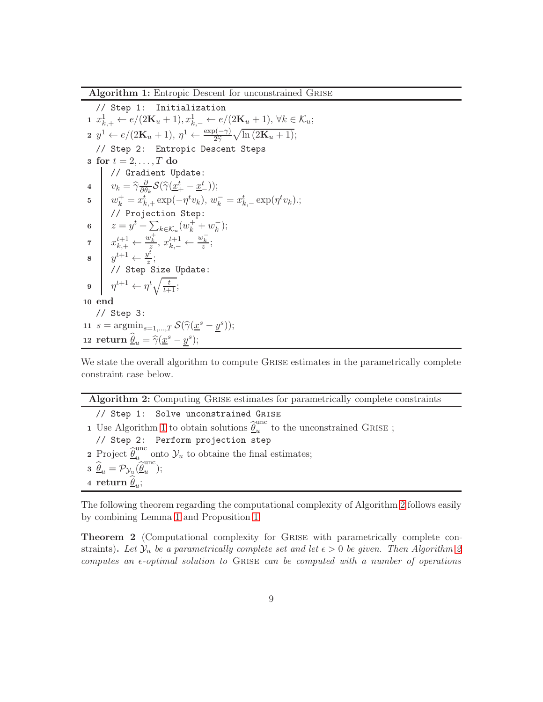Algorithm 1: Entropic Descent for unconstrained Grise

// Step 1: Initialization 1  $x_{k,+}^1 \leftarrow e/(2\mathbf{K}_u + 1), x_{k,-}^1 \leftarrow e/(2\mathbf{K}_u + 1), \forall k \in \mathcal{K}_u;$  $2 \, y^1 \leftarrow e/(2\mathbf{K}_u+1), \, \eta^1 \leftarrow \frac{\exp(-\gamma)}{2\widehat{\gamma}}\sqrt{\ln{(2\mathbf{K}_u+1)}};$ // Step 2: Entropic Descent Steps 3 for  $t = 2, \ldots, T$  do // Gradient Update: 4  $v_k = \widehat{\gamma} \frac{\partial}{\partial \theta}$  $\frac{\partial}{\partial \theta_k} \mathcal{S}(\widehat{\gamma}(\underline{x}^t_+-\underline{x}^t_-));$ 5  $w_k^+ = x_{k,+}^t \exp(-\eta^t v_k), w_k^- = x_{k,-}^t \exp(\eta^t v_k);$ // Projection Step: 6  $z = y^t + \sum_{k \in \mathcal{K}_u} (w_k^+ + w_k^-)$  $\frac{-}{k}$ ); 7  $x_{k,+}^{t+1} \leftarrow \frac{w_k^+}{z}, x_{k,-}^{t+1} \leftarrow \frac{w_k^-}{z};$  $\begin{array}{c|c} \mathbf{8} & y^{t+1} \leftarrow \frac{y^t}{z} \end{array}$  $\frac{y}{z}$ ;  $\frac{z}{\sqrt{2}}$  Step Size Update: 9  $\eta^{t+1} \leftarrow \eta^t \sqrt{\frac{t}{t+1}};$ 10 end // Step 3: 11  $s = \operatorname*{argmin}_{s=1,\dots,T} S(\hat{\gamma}(\underline{x}^s - \underline{y}^s));$ 12 return  $\widehat{\underline{\theta}}_u = \widehat{\gamma}(\underline{x}^s - \underline{y}^s);$ 

<span id="page-8-0"></span>We state the overall algorithm to compute GRISE estimates in the parametrically complete constraint case below.

|  |  |  | Algorithm 2: Computing GRISE estimates for parametrically complete constraints |  |
|--|--|--|--------------------------------------------------------------------------------|--|
|  |  |  |                                                                                |  |
|  |  |  |                                                                                |  |
|  |  |  |                                                                                |  |

// Step 1: Solve unconstrained Grise 1 Use Algorithm [1](#page-8-0) to obtain solutions  $\widehat{\underline{\theta}}_u^{\mathrm{unc}}$  $u$ <sup>unc</sup> to the unconstrained GRISE ; // Step 2: Perform projection step 2 Project  $\widehat{\underline{\theta}}_u^{\text{unc}}$  $\sum_{u=1}^{100}$  onto  $\mathcal{Y}_u$  to obtaine the final estimates;  $\mathbf{3} \ \widehat{\underline{\theta}}_u = \mathcal{P}_{\mathcal{Y}_u}(\widehat{\underline{\theta}}_u^{\mathrm{unc}})$  $\frac{u}{u}$ ); 4 return  $\underline{\theta}_u$ ;

<span id="page-8-1"></span>The following theorem regarding the computational complexity of Algorithm [2](#page-8-1) follows easily by combining Lemma [1](#page-7-1) and Proposition [1.](#page-7-2)

<span id="page-8-2"></span>Theorem 2 (Computational complexity for Grise with parametrically complete constraints). Let  $\mathcal{Y}_u$  be a parametrically complete set and let  $\epsilon > 0$  be given. Then Algorithm [2](#page-8-1) computes an  $\epsilon$ -optimal solution to GRISE can be computed with a number of operations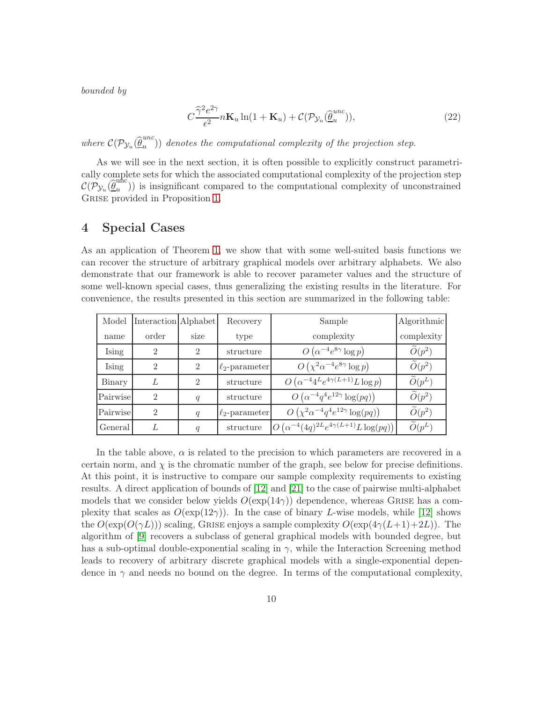bounded by

$$
C\frac{\widehat{\gamma}^2 e^{2\gamma}}{\epsilon^2} n\mathbf{K}_u \ln(1 + \mathbf{K}_u) + \mathcal{C}(\mathcal{P}_{\mathcal{Y}_u}(\widehat{\underline{\theta}}_u^{unc})),\tag{22}
$$

where  $\mathcal{C}(\mathcal{P}_{\mathcal{Y}_u}(\hat{\underline{\theta}}_u^{unc}))$  $\binom{u}{u}$ ) denotes the computational complexity of the projection step.

As we will see in the next section, it is often possible to explicitly construct parametrically complete sets for which the associated computational complexity of the projection step  $\mathcal{C}(\mathcal{P}_{\mathcal{Y}_u}(\hat{\underline{\theta}}_u^{\text{unc}}))$  $\binom{m}{u}$ ) is insignificant compared to the computational complexity of unconstrained GRISE provided in Proposition [1.](#page-7-2)

### <span id="page-9-0"></span>4 Special Cases

As an application of Theorem [1,](#page-6-0) we show that with some well-suited basis functions we can recover the structure of arbitrary graphical models over arbitrary alphabets. We also demonstrate that our framework is able to recover parameter values and the structure of some well-known special cases, thus generalizing the existing results in the literature. For convenience, the results presented in this section are summarized in the following table:

| Model    | Interaction Alphabet |                  | Recovery            | Sample                                                       | Algorithmic          |
|----------|----------------------|------------------|---------------------|--------------------------------------------------------------|----------------------|
| name     | order                | size             | type                | complexity                                                   | complexity           |
| Ising    | $\mathfrak{D}$       | $\mathfrak{D}$   | structure           | $O(\alpha^{-4}e^{8\gamma}\log p)$                            | $\widetilde{O}(p^2)$ |
| Ising    | $\overline{2}$       | $\overline{2}$   | $\ell_2$ -parameter | $O\left(\chi^2 \alpha^{-4} e^{8\gamma} \log p\right)$        | $\widetilde{O}(p^2)$ |
| Binary   | L                    | $\mathfrak{D}$   | structure           | $O\left(\alpha^{-4}4^{L}e^{4\gamma(L+1)}L\log p\right)$      | $\widetilde{O}(p^L)$ |
| Pairwise | $\mathfrak{D}$       | $\boldsymbol{q}$ | structure           | $O(\alpha^{-4}q^4e^{12\gamma}\log(pq))$                      | $\widetilde{O}(p^2)$ |
| Pairwise | $\mathfrak{D}$       | q                | $\ell_2$ -parameter | $O\left(\chi^2 \alpha^{-4} q^4 e^{12\gamma} \log(pq)\right)$ | $\widetilde{O}(p^2)$ |
| General  |                      | q                | structure           | $ O(\alpha^{-4}(4q)^{2L}e^{4\gamma(L+1)}L\log(pq)) $         | $\widetilde{O}(p^L)$ |

In the table above,  $\alpha$  is related to the precision to which parameters are recovered in a certain norm, and  $\chi$  is the chromatic number of the graph, see below for precise definitions. At this point, it is instructive to compare our sample complexity requirements to existing results. A direct application of bounds of [\[12\]](#page-31-7) and [\[21\]](#page-32-3) to the case of pairwise multi-alphabet models that we consider below yields  $O(\exp(14\gamma))$  dependence, whereas GRISE has a complexity that scales as  $O(\exp(12\gamma))$ . In the case of binary L-wise models, while [\[12\]](#page-31-7) shows the  $O(\exp(O(\gamma L)))$  scaling, GRISE enjoys a sample complexity  $O(\exp(4\gamma (L+1)+2L))$ . The algorithm of [\[9\]](#page-31-6) recovers a subclass of general graphical models with bounded degree, but has a sub-optimal double-exponential scaling in  $\gamma$ , while the Interaction Screening method leads to recovery of arbitrary discrete graphical models with a single-exponential dependence in  $\gamma$  and needs no bound on the degree. In terms of the computational complexity,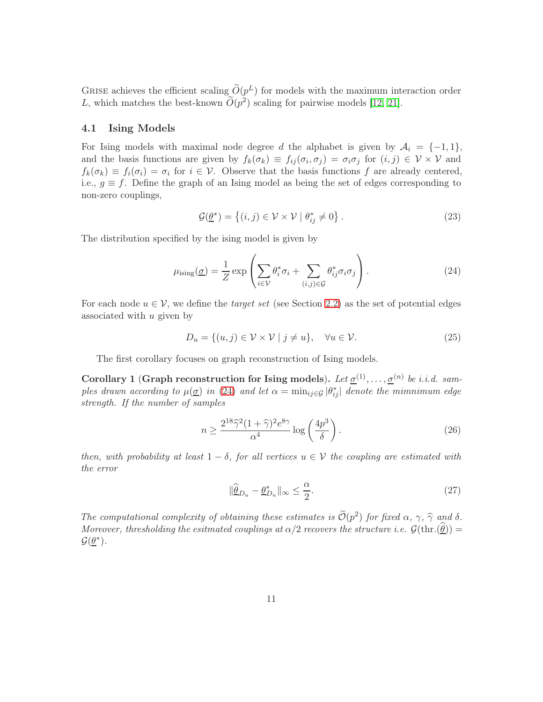GRISE achieves the efficient scaling  $\tilde{O}(p^L)$  for models with the maximum interaction order L, which matches the best-known  $\tilde{O}(p^2)$  scaling for pairwise models [\[12,](#page-31-7) [21\]](#page-32-3).

#### 4.1 Ising Models

For Ising models with maximal node degree d the alphabet is given by  $A_i = \{-1, 1\}$ , and the basis functions are given by  $f_k(\sigma_k) \equiv f_{ij}(\sigma_i, \sigma_j) = \sigma_i \sigma_j$  for  $(i, j) \in \mathcal{V} \times \mathcal{V}$  and  $f_k(\sigma_k) \equiv f_i(\sigma_i) = \sigma_i$  for  $i \in \mathcal{V}$ . Observe that the basis functions f are already centered, i.e.,  $g \equiv f$ . Define the graph of an Ising model as being the set of edges corresponding to non-zero couplings,

<span id="page-10-0"></span>
$$
\mathcal{G}(\underline{\theta}^*) = \left\{ (i,j) \in \mathcal{V} \times \mathcal{V} \mid \theta_{ij}^* \neq 0 \right\}.
$$
 (23)

The distribution specified by the ising model is given by

$$
\mu_{\text{ising}}(\underline{\sigma}) = \frac{1}{Z} \exp\left(\sum_{i \in \mathcal{V}} \theta_i^* \sigma_i + \sum_{(i,j) \in \mathcal{G}} \theta_{ij}^* \sigma_i \sigma_j\right). \tag{24}
$$

For each node  $u \in V$ , we define the *target set* (see Section [2.2\)](#page-3-2) as the set of potential edges associated with  $u$  given by

$$
D_u = \{(u, j) \in \mathcal{V} \times \mathcal{V} \mid j \neq u\}, \quad \forall u \in \mathcal{V}.
$$
 (25)

The first corollary focuses on graph reconstruction of Ising models.

<span id="page-10-1"></span>Corollary 1 (Graph reconstruction for Ising models). Let  $\underline{\sigma}^{(1)}, \ldots, \underline{\sigma}^{(n)}$  be i.i.d. samples drawn according to  $\mu(\underline{\sigma})$  in [\(24\)](#page-10-0) and let  $\alpha = \min_{ij \in \mathcal{G}} |\theta^*_{ij}|$  denote the mimnimum edge strength. If the number of samples

$$
n \ge \frac{2^{18}\hat{\gamma}^2 (1+\hat{\gamma})^2 e^{8\gamma}}{\alpha^4} \log\left(\frac{4p^3}{\delta}\right). \tag{26}
$$

then, with probability at least  $1 - \delta$ , for all vertices  $u \in V$  the coupling are estimated with the error

$$
\|\widehat{\underline{\theta}}_{D_u} - \underline{\theta}_{D_u}^*\|_{\infty} \le \frac{\alpha}{2}.\tag{27}
$$

The computational complexity of obtaining these estimates is  $\mathcal{O}(p^2)$  for fixed  $\alpha$ ,  $\gamma$ ,  $\hat{\gamma}$  and  $\delta$ . Moreover, thresholding the esitmated couplings at  $\alpha/2$  recovers the structure i.e.  $\mathcal{G}(\text{thr.}(\theta)) =$  $\mathcal{G}(\underline{\theta}^*)$ .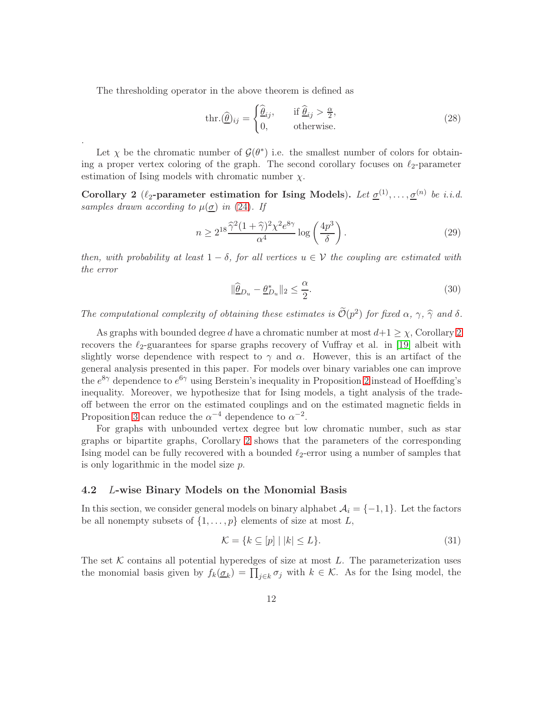The thresholding operator in the above theorem is defined as

.

$$
\text{thr.}(\widehat{\underline{\theta}})_{ij} = \begin{cases} \widehat{\underline{\theta}}_{ij}, & \text{if } \widehat{\underline{\theta}}_{ij} > \frac{\alpha}{2}, \\ 0, & \text{otherwise.} \end{cases}
$$
\n(28)

Let  $\chi$  be the chromatic number of  $\mathcal{G}(\theta^*)$  i.e. the smallest number of colors for obtaining a proper vertex coloring of the graph. The second corollary focuses on  $\ell_2$ -parameter estimation of Ising models with chromatic number  $\chi$ .

 $\overline{a}$ 

<span id="page-11-0"></span>Corollary 2 ( $\ell_2$ -parameter estimation for Ising Models). Let  $\underline{\sigma}^{(1)}, \ldots, \underline{\sigma}^{(n)}$  be i.i.d. samples drawn according to  $\mu(\underline{\sigma})$  in [\(24\)](#page-10-0). If

$$
n \ge 2^{18} \frac{\hat{\gamma}^2 (1+\hat{\gamma})^2 \chi^2 e^{8\gamma}}{\alpha^4} \log\left(\frac{4p^3}{\delta}\right). \tag{29}
$$

then, with probability at least  $1 - \delta$ , for all vertices  $u \in V$  the coupling are estimated with the error

<span id="page-11-1"></span>
$$
\|\widehat{\underline{\theta}}_{D_u} - \underline{\theta}_{D_u}^*\|_2 \le \frac{\alpha}{2}.\tag{30}
$$

The computational complexity of obtaining these estimates is  $\mathcal{O}(p^2)$  for fixed  $\alpha$ ,  $\gamma$ ,  $\widehat{\gamma}$  and  $\delta$ .

As graphs with bounded degree d have a chromatic number at most  $d+1 \geq \chi$ , Corollary [2](#page-11-0) recovers the  $\ell_2$ -guarantees for sparse graphs recovery of Vuffray et al. in [\[19\]](#page-32-1) albeit with slightly worse dependence with respect to  $\gamma$  and  $\alpha$ . However, this is an artifact of the general analysis presented in this paper. For models over binary variables one can improve the  $e^{8\gamma}$  dependence to  $e^{6\gamma}$  using Berstein's inequality in Proposition [2](#page-19-0) instead of Hoeffding's inequality. Moreover, we hypothesize that for Ising models, a tight analysis of the tradeoff between the error on the estimated couplings and on the estimated magnetic fields in Proposition [3](#page-19-1) can reduce the  $\alpha^{-4}$  dependence to  $\alpha^{-2}$ .

For graphs with unbounded vertex degree but low chromatic number, such as star graphs or bipartite graphs, Corollary [2](#page-11-0) shows that the parameters of the corresponding Ising model can be fully recovered with a bounded  $\ell_2$ -error using a number of samples that is only logarithmic in the model size p.

#### 4.2 L-wise Binary Models on the Monomial Basis

In this section, we consider general models on binary alphabet  $A_i = \{-1, 1\}$ . Let the factors be all nonempty subsets of  $\{1, \ldots, p\}$  elements of size at most L,

$$
\mathcal{K} = \{ k \subseteq [p] \mid |k| \le L \}. \tag{31}
$$

The set  $K$  contains all potential hyperedges of size at most  $L$ . The parameterization uses the monomial basis given by  $f_k(\underline{\sigma}_k) = \prod_{j \in k} \sigma_j$  with  $k \in \mathcal{K}$ . As for the Ising model, the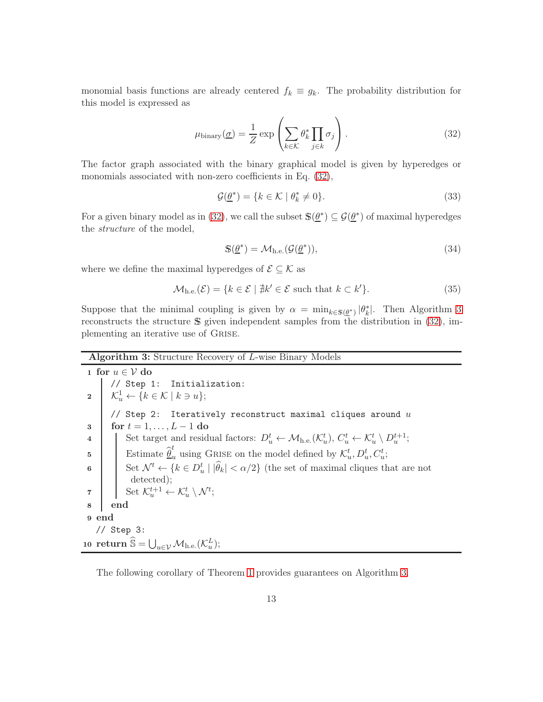monomial basis functions are already centered  $f_k \equiv g_k$ . The probability distribution for this model is expressed as

$$
\mu_{\text{binary}}(\underline{\sigma}) = \frac{1}{Z} \exp\left(\sum_{k \in \mathcal{K}} \theta_k^* \prod_{j \in k} \sigma_j\right). \tag{32}
$$

The factor graph associated with the binary graphical model is given by hyperedges or monomials associated with non-zero coefficients in Eq. [\(32\)](#page-12-0),

<span id="page-12-0"></span>
$$
\mathcal{G}(\underline{\theta}^*) = \{ k \in \mathcal{K} \mid \theta_k^* \neq 0 \}. \tag{33}
$$

For a given binary model as in [\(32\)](#page-12-0), we call the subset  $\mathbb{S}(\underline{\theta}^*) \subseteq \mathcal{G}(\underline{\theta}^*)$  of maximal hyperedges the structure of the model,

$$
\mathbb{S}(\underline{\theta}^*) = \mathcal{M}_{h.e.}(\mathcal{G}(\underline{\theta}^*)),\tag{34}
$$

where we define the maximal hyperedges of  $\mathcal{E} \subseteq \mathcal{K}$  as

$$
\mathcal{M}_{h.e.}(\mathcal{E}) = \{ k \in \mathcal{E} \mid \nexists k' \in \mathcal{E} \text{ such that } k \subset k' \}. \tag{35}
$$

Suppose that the minimal coupling is given by  $\alpha = \min_{k \in \mathbb{S}(\underline{\theta}^*)} |\theta_k^*|$ . Then Algorithm [3](#page-12-1) reconstructs the structure <sup>S</sup> given independent samples from the distribution in [\(32\)](#page-12-0), implementing an iterative use of Grise.

Algorithm 3: Structure Recovery of L-wise Binary Models

1 for  $u \in V$  do // Step 1: Initialization: 2  $\left| \mathcal{K}_u^1 \leftarrow \{k \in \mathcal{K} \mid k \ni u\};\right.$ // Step 2: Iteratively reconstruct maximal cliques around  $u$ 3 | for  $t = 1, ..., L - 1$  do 4 Set target and residual factors:  $D_u^t \leftarrow \mathcal{M}_{h.e.}(\mathcal{K}_u^t), C_u^t \leftarrow \mathcal{K}_u^t \setminus D_u^{t+1};$ 5 Estimate  $\hat{\underline{\theta}}_u^t$  using GRISE on the model defined by  $\mathcal{K}_u^t, D_u^t, C_u^t$ ; 6 Set  $\mathcal{N}^t \leftarrow \{k \in D_u^t \mid |\widehat{\theta}_k| < \alpha/2\}$  (the set of maximal cliques that are not detected); 7 Set  $\mathcal{K}_u^{t+1} \leftarrow \mathcal{K}_u^t \setminus \mathcal{N}^t;$ 8 end 9 end // Step 3: 10  $\mathbf{return} \ \widehat{\mathbb{S}} = \bigcup_{u \in \mathcal{V}} \mathcal{M}_{\rm h.e.}(\mathcal{K}_u^L);$ 

<span id="page-12-1"></span>The following corollary of Theorem [1](#page-6-0) provides guarantees on Algorithm [3.](#page-12-1)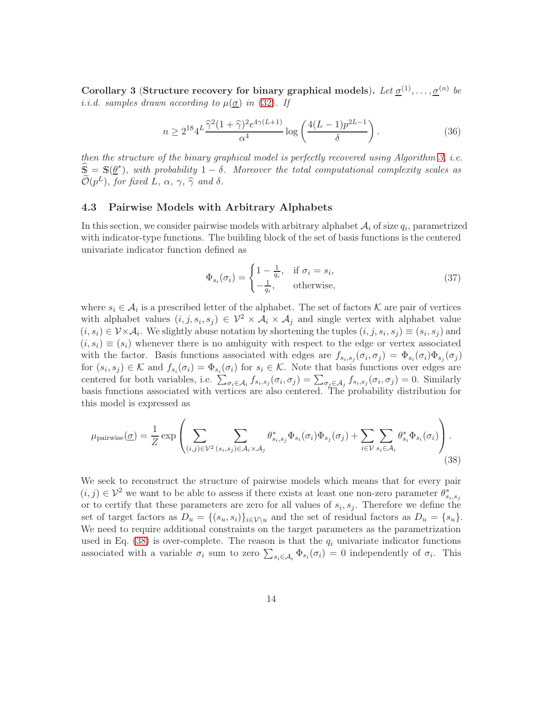<span id="page-13-2"></span>Corollary 3 (Structure recovery for binary graphical models). Let  $\underline{\sigma}^{(1)}, \ldots, \underline{\sigma}^{(n)}$  be i.i.d. samples drawn according to  $\mu(\sigma)$  in [\(32\)](#page-12-0). If

$$
n \ge 2^{18} 4^L \frac{\hat{\gamma}^2 (1 + \hat{\gamma})^2 e^{4\gamma (L+1)}}{\alpha^4} \log \left( \frac{4(L-1) p^{2L-1}}{\delta} \right). \tag{36}
$$

then the structure of the binary graphical model is perfectly recovered using Algorithm [3,](#page-12-1) i.e.  $\widehat{\mathbb{S}} = \mathbb{S}(\underline{\theta}^*)$ , with probability  $1 - \delta$ . Moreover the total computational complexity scales as  $\widetilde{\mathcal{O}}(p^L)$ , for fixed L,  $\alpha$ ,  $\gamma$ ,  $\widehat{\gamma}$  and  $\delta$ .

#### 4.3 Pairwise Models with Arbitrary Alphabets

In this section, we consider pairwise models with arbitrary alphabet  $A_i$  of size  $q_i$ , parametrized with indicator-type functions. The building block of the set of basis functions is the centered univariate indicator function defined as

<span id="page-13-3"></span><span id="page-13-1"></span><span id="page-13-0"></span>
$$
\Phi_{s_i}(\sigma_i) = \begin{cases} 1 - \frac{1}{q_i}, & \text{if } \sigma_i = s_i, \\ -\frac{1}{q_i}, & \text{otherwise,} \end{cases}
$$
\n(37)

where  $s_i \in \mathcal{A}_i$  is a prescribed letter of the alphabet. The set of factors K are pair of vertices with alphabet values  $(i, j, s_i, s_j) \in \mathcal{V}^2 \times \mathcal{A}_i \times \mathcal{A}_j$  and single vertex with alphabet value  $(i, s_i) \in \mathcal{V} \times \mathcal{A}_i$ . We slightly abuse notation by shortening the tuples  $(i, j, s_i, s_j) \equiv (s_i, s_j)$  and  $(i, s_i) \equiv (s_i)$  whenever there is no ambiguity with respect to the edge or vertex associated with the factor. Basis functions associated with edges are  $f_{s_i,s_j}(\sigma_i,\sigma_j) = \Phi_{s_i}(\sigma_i)\Phi_{s_j}(\sigma_j)$ for  $(s_i, s_j) \in \mathcal{K}$  and  $f_{s_i}(\sigma_i) = \Phi_{s_i}(\sigma_i)$  for  $s_i \in \mathcal{K}$ . Note that basis functions over edges are centered for both variables, i.e.  $\sum_{\sigma_i \in A_i} f_{s_i,s_j}(\sigma_i, \sigma_j) = \sum_{\sigma_j \in A_j} f_{s_i,s_j}(\sigma_i, \sigma_j) = 0$ . Similarly basis functions associated with vertices are also centered. The probability distribution for this model is expressed as

$$
\mu_{\text{pairwise}}(\underline{\sigma}) = \frac{1}{Z} \exp \left( \sum_{(i,j) \in \mathcal{V}^2} \sum_{(s_i, s_j) \in \mathcal{A}_i \times \mathcal{A}_j} \theta_{s_i, s_j}^* \Phi_{s_i}(\sigma_i) \Phi_{s_j}(\sigma_j) + \sum_{i \in \mathcal{V}} \sum_{s_i \in \mathcal{A}_i} \theta_{s_i}^* \Phi_{s_i}(\sigma_i) \right).
$$
\n(38)

We seek to reconstruct the structure of pairwise models which means that for every pair  $(i, j) \in \mathcal{V}^2$  we want to be able to assess if there exists at least one non-zero parameter  $\theta^*_{s_i, s_j}$ or to certify that these parameters are zero for all values of  $s_i, s_j$ . Therefore we define the set of target factors as  $D_u = \{(s_u, s_i)\}_{i \in \mathcal{V}\setminus u}$  and the set of residual factors as  $D_u = \{s_u\}.$ We need to require additional constraints on the target parameters as the parametrization used in Eq. [\(38\)](#page-13-0) is over-complete. The reason is that the  $q_i$  univariate indicator functions associated with a variable  $\sigma_i$  sum to zero  $\sum_{s_i \in A_i} \Phi_{s_i}(\sigma_i) = 0$  independently of  $\sigma_i$ . This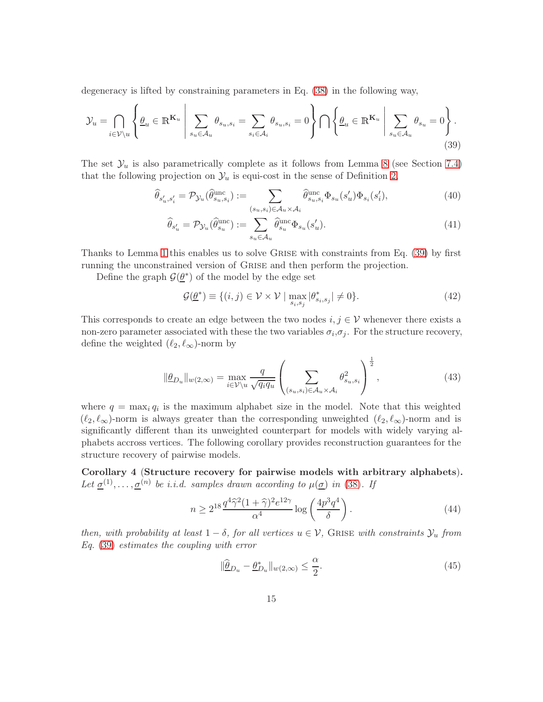degeneracy is lifted by constraining parameters in Eq. [\(38\)](#page-13-0) in the following way,

$$
\mathcal{Y}_{u} = \bigcap_{i \in \mathcal{V} \backslash u} \left\{ \underline{\theta}_{u} \in \mathbb{R}^{K_{u}} \, \middle| \, \sum_{s_{u} \in \mathcal{A}_{u}} \theta_{s_{u}, s_{i}} = \sum_{s_{i} \in \mathcal{A}_{i}} \theta_{s_{u}, s_{i}} = 0 \right\} \bigcap \left\{ \underline{\theta}_{u} \in \mathbb{R}^{K_{u}} \, \middle| \, \sum_{s_{u} \in \mathcal{A}_{u}} \theta_{s_{u}} = 0 \right\}.
$$
\n(39)

The set  $\mathcal{Y}_u$  is also parametrically complete as it follows from Lemma [8](#page-28-0) (see Section [7.4\)](#page-27-0) that the following projection on  $\mathcal{Y}_u$  is equi-cost in the sense of Definition [2,](#page-6-3)

$$
\widehat{\theta}_{s_u',s_i'} = \mathcal{P}_{\mathcal{Y}_u}(\widehat{\theta}_{s_u,s_i}^{\text{unc}}) := \sum_{(s_u,s_i) \in \mathcal{A}_u \times \mathcal{A}_i} \widehat{\theta}_{s_u,s_i}^{\text{unc}} \Phi_{s_u}(s_u') \Phi_{s_i}(s_i'),\tag{40}
$$

<span id="page-14-0"></span>
$$
\widehat{\theta}_{s_u'} = \mathcal{P}_{\mathcal{Y}_u}(\widehat{\theta}_{s_u}^{\text{unc}}) := \sum_{s_u \in \mathcal{A}_u} \widehat{\theta}_{s_u}^{\text{unc}} \Phi_{s_u}(s_u'). \tag{41}
$$

Thanks to Lemma [1](#page-7-1) this enables us to solve Grise with constraints from Eq. [\(39\)](#page-14-0) by first running the unconstrained version of Grise and then perform the projection.

Define the graph  $\mathcal{G}(\underline{\theta}^*)$  of the model by the edge set

$$
\mathcal{G}(\underline{\theta}^*) \equiv \{ (i,j) \in \mathcal{V} \times \mathcal{V} \mid \max_{s_i, s_j} |\theta^*_{s_i, s_j}| \neq 0 \}. \tag{42}
$$

This corresponds to create an edge between the two nodes  $i, j \in V$  whenever there exists a non-zero parameter associated with these the two variables  $\sigma_i, \sigma_j$ . For the structure recovery, define the weighted  $(\ell_2, \ell_\infty)$ -norm by

$$
\|\underline{\theta}_{D_u}\|_{w(2,\infty)} = \max_{i \in \mathcal{V} \backslash u} \frac{q}{\sqrt{q_i q_u}} \left( \sum_{(s_u, s_i) \in \mathcal{A}_u \times \mathcal{A}_i} \theta_{s_u, s_i}^2 \right)^{\frac{1}{2}},
$$
\n(43)

where  $q = \max_i q_i$  is the maximum alphabet size in the model. Note that this weighted  $(\ell_2, \ell_\infty)$ -norm is always greater than the corresponding unweighted  $(\ell_2, \ell_\infty)$ -norm and is significantly different than its unweighted counterpart for models with widely varying alphabets accross vertices. The following corollary provides reconstruction guarantees for the structure recovery of pairwise models.

<span id="page-14-1"></span>Corollary 4 (Structure recovery for pairwise models with arbitrary alphabets). Let  $\underline{\sigma}^{(1)}, \ldots, \underline{\sigma}^{(n)}$  be i.i.d. samples drawn according to  $\mu(\underline{\sigma})$  in [\(38\)](#page-13-0). If

$$
n \ge 2^{18} \frac{q^4 \widehat{\gamma}^2 (1+\widehat{\gamma})^2 e^{12\gamma}}{\alpha^4} \log \left(\frac{4p^3 q^4}{\delta}\right). \tag{44}
$$

then, with probability at least  $1 - \delta$ , for all vertices  $u \in V$ , GRISE with constraints  $\mathcal{Y}_u$  from Eq. [\(39\)](#page-14-0) estimates the coupling with error

$$
\|\widehat{\underline{\theta}}_{Du} - \underline{\theta}_{Du}^*\|_{w(2,\infty)} \le \frac{\alpha}{2}.\tag{45}
$$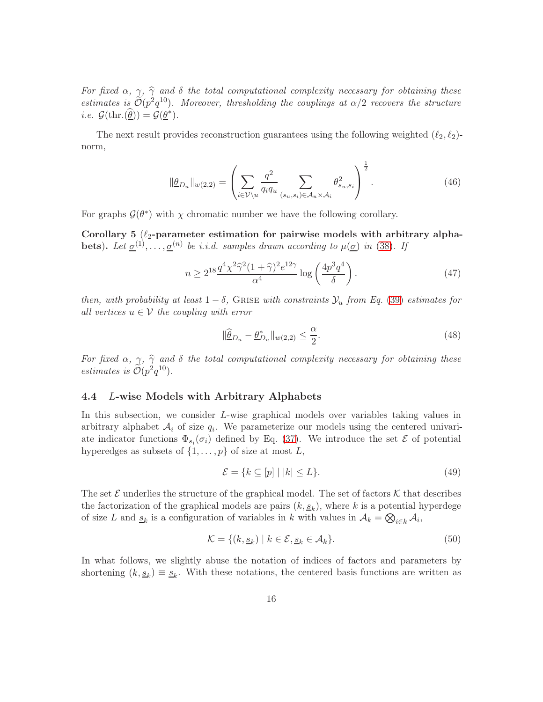For fixed  $\alpha$ ,  $\gamma$ ,  $\hat{\gamma}$  and  $\delta$  the total computational complexity necessary for obtaining these estimates is  $\mathcal{O}(p^2q^{10})$ . Moreover, thresholding the couplings at  $\alpha/2$  recovers the structure *i.e.*  $\mathcal{G}(\text{thr.}(\underline{\hat{\theta}})) = \mathcal{G}(\underline{\theta}^*).$ 

The next result provides reconstruction guarantees using the following weighted  $(\ell_2, \ell_2)$ norm,

$$
\|\underline{\theta}_{D_u}\|_{w(2,2)} = \left(\sum_{i \in \mathcal{V}\backslash u} \frac{q^2}{q_i q_u} \sum_{(s_u, s_i) \in \mathcal{A}_u \times \mathcal{A}_i} \theta_{s_u, s_i}^2\right)^{\frac{1}{2}}.
$$
 (46)

For graphs  $\mathcal{G}(\theta^*)$  with  $\chi$  chromatic number we have the following corollary.

<span id="page-15-0"></span>Corollary 5  $(\ell_2$ -parameter estimation for pairwise models with arbitrary alphabets). Let  $\underline{\sigma}^{(1)}, \ldots, \underline{\sigma}^{(n)}$  be i.i.d. samples drawn according to  $\mu(\underline{\sigma})$  in [\(38\)](#page-13-0). If

$$
n \ge 2^{18} \frac{q^4 \chi^2 \hat{\gamma}^2 (1+\hat{\gamma})^2 e^{12\gamma}}{\alpha^4} \log \left(\frac{4p^3 q^4}{\delta}\right). \tag{47}
$$

then, with probability at least  $1 - \delta$ , GRISE with constraints  $\mathcal{Y}_u$  from Eq. [\(39\)](#page-14-0) estimates for all vertices  $u \in V$  the coupling with error

$$
\|\widehat{\underline{\theta}}_{D_u} - \underline{\theta}_{D_u}^*\|_{w(2,2)} \le \frac{\alpha}{2}.\tag{48}
$$

For fixed  $\alpha$ ,  $\gamma$ ,  $\hat{\gamma}$  and  $\delta$  the total computational complexity necessary for obtaining these estimates is  $\tilde{\mathcal{O}}(p^2q^{10})$ .

#### 4.4 L-wise Models with Arbitrary Alphabets

In this subsection, we consider L-wise graphical models over variables taking values in arbitrary alphabet  $A_i$  of size  $q_i$ . We parameterize our models using the centered univariate indicator functions  $\Phi_{s_i}(\sigma_i)$  defined by Eq. [\(37\)](#page-13-1). We introduce the set  $\mathcal E$  of potential hyperedges as subsets of  $\{1, \ldots, p\}$  of size at most L,

$$
\mathcal{E} = \{ k \subseteq [p] \mid |k| \le L \}. \tag{49}
$$

The set  $\mathcal E$  underlies the structure of the graphical model. The set of factors  $\mathcal K$  that describes the factorization of the graphical models are pairs  $(k, \underline{s}_k)$ , where k is a potential hyperdege of size L and  $\underline{s}_k$  is a configuration of variables in k with values in  $A_k = \bigotimes_{i \in k} A_i$ ,

$$
\mathcal{K} = \{ (k, \underline{s}_k) \mid k \in \mathcal{E}, \underline{s}_k \in \mathcal{A}_k \}. \tag{50}
$$

In what follows, we slightly abuse the notation of indices of factors and parameters by shortening  $(k, \underline{s}_k) \equiv \underline{s}_k$ . With these notations, the centered basis functions are written as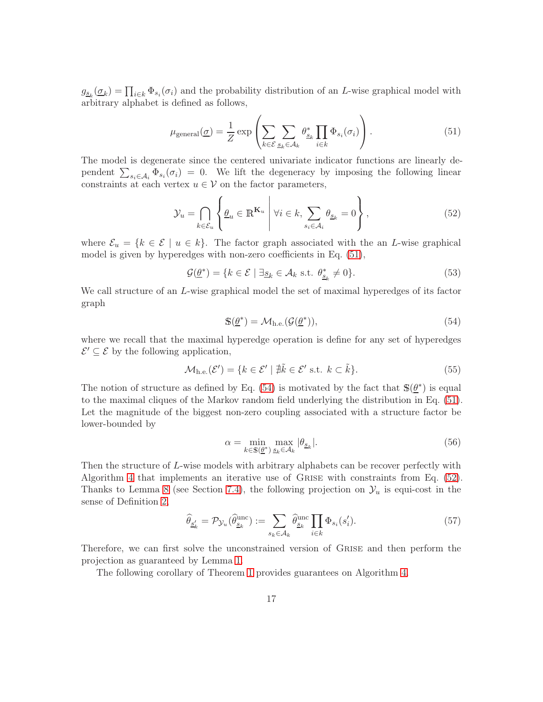$g_{\underline{s}_k}(\underline{\sigma}_k) = \prod_{i \in k} \Phi_{s_i}(\sigma_i)$  and the probability distribution of an L-wise graphical model with arbitrary alphabet is defined as follows,

<span id="page-16-0"></span>
$$
\mu_{\text{general}}(\underline{\sigma}) = \frac{1}{Z} \exp \left( \sum_{k \in \mathcal{E}} \sum_{s_k \in \mathcal{A}_k} \theta_{s_k}^* \prod_{i \in k} \Phi_{s_i}(\sigma_i) \right). \tag{51}
$$

The model is degenerate since the centered univariate indicator functions are linearly dependent  $\sum_{s_i \in A_i} \Phi_{s_i}(\sigma_i) = 0$ . We lift the degeneracy by imposing the following linear constraints at each vertex  $u \in V$  on the factor parameters,

$$
\mathcal{Y}_u = \bigcap_{k \in \mathcal{E}_u} \left\{ \underline{\theta}_u \in \mathbb{R}^{K_u} \middle| \forall i \in k, \sum_{s_i \in \mathcal{A}_i} \theta_{\underline{s}_k} = 0 \right\},\tag{52}
$$

where  $\mathcal{E}_u = \{k \in \mathcal{E} \mid u \in k\}$ . The factor graph associated with the an L-wise graphical model is given by hyperedges with non-zero coefficients in Eq. [\(51\)](#page-16-0),

$$
\mathcal{G}(\underline{\theta}^*) = \{ k \in \mathcal{E} \mid \exists \underline{s}_k \in \mathcal{A}_k \text{ s.t. } \theta^*_{\underline{s}_k} \neq 0 \}. \tag{53}
$$

We call structure of an L-wise graphical model the set of maximal hyperedges of its factor graph

<span id="page-16-2"></span><span id="page-16-1"></span>
$$
\mathbb{S}(\underline{\theta}^*) = \mathcal{M}_{h.e.}(\mathcal{G}(\underline{\theta}^*)),\tag{54}
$$

where we recall that the maximal hyperedge operation is define for any set of hyperedges  $\mathcal{E}' \subseteq \mathcal{E}$  by the following application,

$$
\mathcal{M}_{h.e.}(\mathcal{E}') = \{ k \in \mathcal{E}' \mid \nexists \tilde{k} \in \mathcal{E}' \text{ s.t. } k \subset \tilde{k} \}. \tag{55}
$$

The notion of structure as defined by Eq. [\(54\)](#page-16-1) is motivated by the fact that  $\mathbb{S}(\underline{\theta}^*)$  is equal to the maximal cliques of the Markov random field underlying the distribution in Eq. [\(51\)](#page-16-0). Let the magnitude of the biggest non-zero coupling associated with a structure factor be lower-bounded by

<span id="page-16-3"></span>
$$
\alpha = \min_{k \in \mathbb{S}(\underline{\theta}^*)} \max_{\underline{s}_k \in \mathcal{A}_k} |\theta_{\underline{s}_k}|. \tag{56}
$$

Then the structure of L-wise models with arbitrary alphabets can be recover perfectly with Algorithm [4](#page-17-0) that implements an iterative use of Grise with constraints from Eq. [\(52\)](#page-16-2). Thanks to Lemma [8](#page-28-0) (see Section [7.4\)](#page-27-0), the following projection on  $\mathcal{Y}_u$  is equi-cost in the sense of Definition [2,](#page-6-3)

$$
\widehat{\theta}_{\underline{s}'_k} = \mathcal{P}_{\mathcal{Y}_u}(\widehat{\theta}_{\underline{s}_k}^{\text{unc}}) := \sum_{s_k \in \mathcal{A}_k} \widehat{\theta}_{\underline{s}_k}^{\text{unc}} \prod_{i \in k} \Phi_{s_i}(s'_i). \tag{57}
$$

Therefore, we can first solve the unconstrained version of Grise and then perform the projection as guaranteed by Lemma [1.](#page-7-1)

The following corollary of Theorem [1](#page-6-0) provides guarantees on Algorithm [4.](#page-17-0)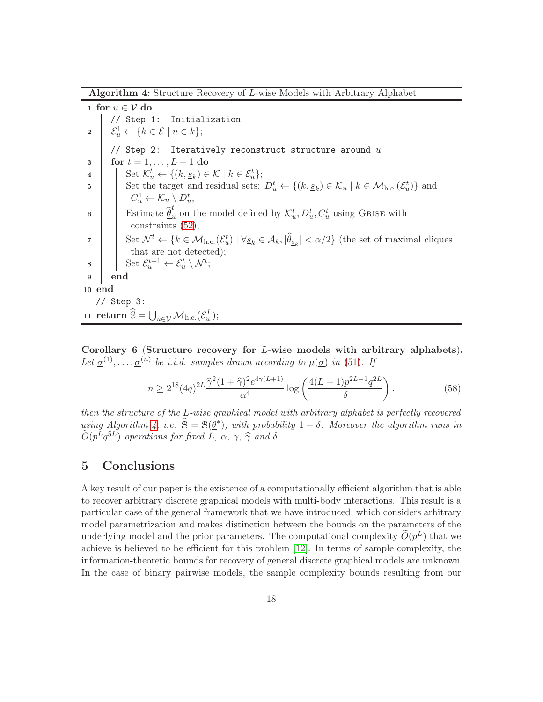Algorithm 4: Structure Recovery of L-wise Models with Arbitrary Alphabet

1 for  $u \in V$  do // Step 1: Initialization 2  $\mathcal{E}_u^1 \leftarrow \{k \in \mathcal{E} \mid u \in k\};$ // Step 2: Iteratively reconstruct structure around  $u$ 3 for  $t = 1, \ldots, L-1$  do<br>4 Set  $\mathcal{K}_{u}^{t} \leftarrow \{(k, s_k) \in$ 4 | Set  $\mathcal{K}_u^t \leftarrow \{(k, \underline{s}_k) \in \mathcal{K} \mid k \in \mathcal{E}_u^t\};$ 5 Set the target and residual sets:  $D_u^t \leftarrow \{(k, s_k) \in \mathcal{K}_u \mid k \in \mathcal{M}_{h.e.}(\mathcal{E}_u^t)\}\)$  and  $C_u^1 \leftarrow \mathcal{K}_u \setminus D_u^t;$ 6 **Estimate**  $\widehat{\theta}_i^t$  $u_u$  on the model defined by  $\mathcal{K}_u^t$ ,  $D_u^t$ ,  $C_u^t$  using GRISE with constraints [\(52\)](#page-16-2); 7 Set  $\mathcal{N}^t \leftarrow \{k \in \mathcal{M}_{h.e.}(\mathcal{E}_u^t) \mid \forall \underline{s}_k \in \mathcal{A}_k, |\hat{\theta}_{\underline{s}_k}| < \alpha/2\}$  (the set of maximal cliques that are not detected); 8 Set  $\mathcal{E}_u^{t+1} \leftarrow \mathcal{E}_u^t \setminus \mathcal{N}^t;$ 9 end 10 end // Step 3: 11 return  $\widehat{\mathbb{S}} = \bigcup_{u \in \mathcal{V}} \mathcal{M}_{\text{h.e.}}(\mathcal{E}_u^L);$ 

<span id="page-17-1"></span><span id="page-17-0"></span>Corollary 6 (Structure recovery for L-wise models with arbitrary alphabets). Let  $\underline{\sigma}^{(1)}, \ldots, \underline{\sigma}^{(n)}$  be i.i.d. samples drawn according to  $\mu(\underline{\sigma})$  in [\(51\)](#page-16-0). If

$$
n \ge 2^{18} (4q)^{2L} \frac{\hat{\gamma}^2 (1+\hat{\gamma})^2 e^{4\gamma(L+1)}}{\alpha^4} \log \left( \frac{4(L-1) p^{2L-1} q^{2L}}{\delta} \right). \tag{58}
$$

then the structure of the L-wise graphical model with arbitrary alphabet is perfectly recovered using Algorithm [4,](#page-17-0) i.e.  $\hat{\mathbb{S}} = \mathbb{S}(\underline{\theta}^*)$ , with probability  $1 - \delta$ . Moreover the algorithm runs in  $\widetilde{O}(p^Lq^{5L})$  operations for fixed L,  $\alpha$ ,  $\gamma$ ,  $\widehat{\gamma}$  and  $\delta$ .

### 5 Conclusions

A key result of our paper is the existence of a computationally efficient algorithm that is able to recover arbitrary discrete graphical models with multi-body interactions. This result is a particular case of the general framework that we have introduced, which considers arbitrary model parametrization and makes distinction between the bounds on the parameters of the underlying model and the prior parameters. The computational complexity  $\tilde{O}(p^L)$  that we achieve is believed to be efficient for this problem [\[12\]](#page-31-7). In terms of sample complexity, the information-theoretic bounds for recovery of general discrete graphical models are unknown. In the case of binary pairwise models, the sample complexity bounds resulting from our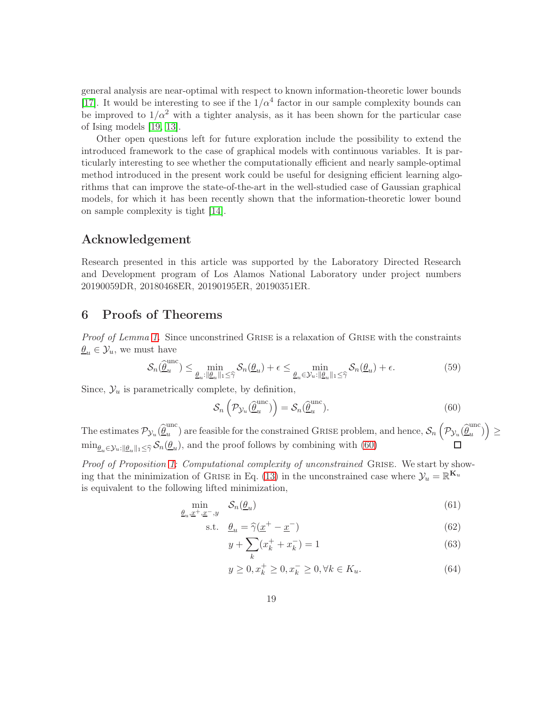general analysis are near-optimal with respect to known information-theoretic lower bounds [\[17\]](#page-31-4). It would be interesting to see if the  $1/\alpha^4$  factor in our sample complexity bounds can be improved to  $1/\alpha^2$  with a tighter analysis, as it has been shown for the particular case of Ising models [\[19,](#page-32-1) [13\]](#page-31-5).

Other open questions left for future exploration include the possibility to extend the introduced framework to the case of graphical models with continuous variables. It is particularly interesting to see whether the computationally efficient and nearly sample-optimal method introduced in the present work could be useful for designing efficient learning algorithms that can improve the state-of-the-art in the well-studied case of Gaussian graphical models, for which it has been recently shown that the information-theoretic lower bound on sample complexity is tight [\[14\]](#page-31-9).

## Acknowledgement

Research presented in this article was supported by the Laboratory Directed Research and Development program of Los Alamos National Laboratory under project numbers 20190059DR, 20180468ER, 20190195ER, 20190351ER.

## 6 Proofs of Theorems

Proof of Lemma [1.](#page-7-1) Since unconstrined GRISE is a relaxation of GRISE with the constraints  $\theta_u \in \mathcal{Y}_u$ , we must have

$$
\mathcal{S}_n(\widehat{\underline{\theta}}_u^{\text{unc}}) \le \min_{\underline{\theta}_u : ||\underline{\theta}_u||_1 \le \widehat{\gamma}} \mathcal{S}_n(\underline{\theta}_u) + \epsilon \le \min_{\underline{\theta}_u \in \mathcal{Y}_u : ||\underline{\theta}_u||_1 \le \widehat{\gamma}} \mathcal{S}_n(\underline{\theta}_u) + \epsilon.
$$
 (59)

Since,  $\mathcal{Y}_u$  is parametrically complete, by definition,

<span id="page-18-0"></span>
$$
\mathcal{S}_n\left(\mathcal{P}_{\mathcal{Y}_u}(\widehat{\underline{\theta}}_u^{\text{unc}})\right) = \mathcal{S}_n(\widehat{\underline{\theta}}_u^{\text{unc}}). \tag{60}
$$

The estimates  $\mathcal{P}_{\mathcal{Y}_u}(\widehat{\underline{\theta}}_u^{\mathrm{unc}})$  $\binom{unc}{u}$  are feasible for the constrained GRISE problem, and hence,  $\mathcal{S}_n$   $\Big(\Big)$  $\mathcal{P}_{\mathcal{Y}_u}(\widehat{\underline{\theta}}_u^{\mathrm{unc}})$  $\binom{unc}{u}$ ≥  $\min_{\underline{\theta}_u \in \mathcal{Y}_u : \|\underline{\theta}_u\|_1 \leq \widehat{\gamma}} \mathcal{S}_n(\underline{\theta}_u)$ , and the proof follows by combining with [\(60\)](#page-18-0)

Proof of Proposition [1:](#page-7-2) Computational complexity of unconstrained GRISE. We start by show-ing that the minimization of GRISE in Eq. [\(13\)](#page-6-1) in the unconstrained case where  $\mathcal{Y}_u = \mathbb{R}^{K_u}$ is equivalent to the following lifted minimization,

$$
\min_{\underline{\theta}_u, \underline{x}^+, \underline{x}^-, y} \quad \mathcal{S}_n(\underline{\theta}_u) \tag{61}
$$

$$
\text{s.t.} \quad \underline{\theta}_u = \widehat{\gamma}(\underline{x}^+ - \underline{x}^-) \tag{62}
$$

<span id="page-18-4"></span><span id="page-18-1"></span>
$$
y + \sum_{k} (x_k^+ + x_k^-) = 1\tag{63}
$$

<span id="page-18-3"></span><span id="page-18-2"></span>
$$
y \ge 0, x_k^+ \ge 0, x_k^- \ge 0, \forall k \in K_u.
$$
 (64)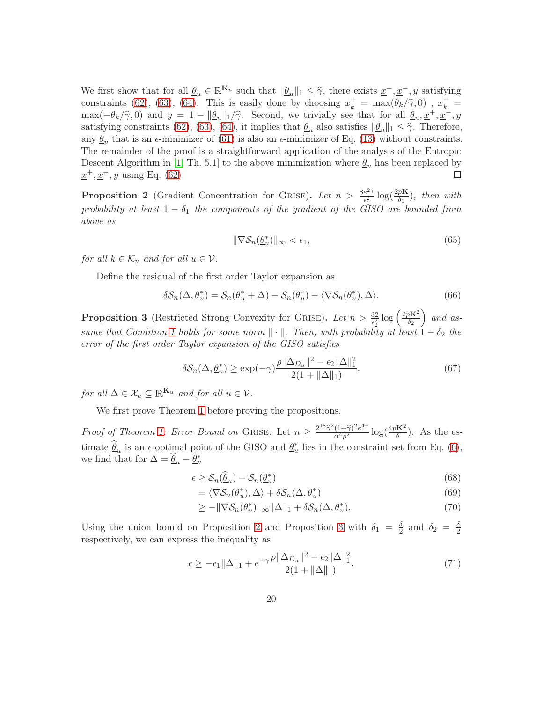We first show that for all  $\underline{\theta}_u \in \mathbb{R}^{K_u}$  such that  $\|\underline{\theta}_u\|_1 \leq \hat{\gamma}$ , there exists  $\underline{x}^+, \underline{x}^-, y$  satisfying constraints [\(62\)](#page-18-1), [\(63\)](#page-18-2), [\(64\)](#page-18-3). This is easily done by choosing  $x_k^+ = \max(\theta_k/\hat{\gamma}, 0)$ ,  $x_k^- =$  $\max(-\theta_k/\hat{\gamma}, 0)$  and  $y = 1 - ||\theta_u||_1/\hat{\gamma}$ . Second, we trivially see that for all  $\theta_u, x^+, x^-, y$ satisfying constraints [\(62\)](#page-18-1), [\(63\)](#page-18-2), [\(64\)](#page-18-3), it implies that  $\underline{\theta}_u$  also satisfies  $\|\underline{\theta}_u\|_1 \leq \hat{\gamma}$ . Therefore, any  $\underline{\theta}_u$  that is an  $\epsilon$ -minimizer of [\(61\)](#page-18-4) is also an  $\epsilon$ -minimizer of Eq. [\(13\)](#page-6-1) without constraints. The remainder of the proof is a straightforward application of the analysis of the Entropic Descent Algorithm in [\[1,](#page-30-5) Th. 5.1] to the above minimization where  $\theta_u$  has been replaced by  $x^+, x^-, y$  using Eq. [\(62\)](#page-18-1). 口

<span id="page-19-0"></span>**Proposition 2** (Gradient Concentration for GRISE). Let  $n > \frac{8e^{2\gamma}}{c^2}$  $\frac{e^{2\gamma}}{\epsilon_1^2} \log(\frac{2pK}{\delta_1})$ , then with probability at least  $1 - \delta_1$  the components of the gradient of the GISO are bounded from above as

$$
\|\nabla \mathcal{S}_n(\underline{\theta}_u^*)\|_{\infty} < \epsilon_1,\tag{65}
$$

for all  $k \in \mathcal{K}_u$  and for all  $u \in \mathcal{V}$ .

Define the residual of the first order Taylor expansion as

$$
\delta \mathcal{S}_n(\Delta, \underline{\theta}_u^*) = \mathcal{S}_n(\underline{\theta}_u^* + \Delta) - \mathcal{S}_n(\underline{\theta}_u^*) - \langle \nabla \mathcal{S}_n(\underline{\theta}_u^*), \Delta \rangle. \tag{66}
$$

<span id="page-19-1"></span>**Proposition 3** (Restricted Strong Convexity for GRISE). Let  $n > \frac{32}{\epsilon_2^2} \log \left( \frac{2pK^2}{\delta_2} \right)$  $\delta_2$  $\big)$  and as-sume that Condition [1](#page-4-1) holds for some norm  $\|\cdot\|$ . Then, with probability at least  $1 - \delta_2$  the error of the first order Taylor expansion of the GISO satisfies

$$
\delta \mathcal{S}_n(\Delta, \underline{\theta}_u^*) \ge \exp(-\gamma) \frac{\rho ||\Delta_{D_u}||^2 - \epsilon_2 ||\Delta||_1^2}{2(1 + ||\Delta||_1)}.\tag{67}
$$

for all  $\Delta \in \mathcal{X}_u \subseteq \mathbb{R}^{K_u}$  and for all  $u \in \mathcal{V}$ .

We first prove Theorem [1](#page-6-0) before proving the propositions.

Proof of Theorem [1:](#page-6-0) Error Bound on GRISE. Let  $n \geq \frac{2^{18}\hat{\gamma}^2(1+\hat{\gamma})^2e^{4\gamma}}{\alpha^4\rho^2}$  $\frac{(1+\widehat{\gamma})^2e^{4\gamma}}{\alpha^4\rho^2} \log(\frac{4pK^2}{\delta})$ . As the estimate  $\widehat{\underline{\theta}}_u$  is an  $\epsilon$ -optimal point of the GISO and  $\underline{\theta}_u^*$  lies in the constraint set from Eq. [\(6\)](#page-3-5), we find that for  $\Delta = \widehat{\theta}_u - \underline{\theta}_u^*$ 

$$
\epsilon \ge \mathcal{S}_n(\hat{\underline{\theta}}_u) - \mathcal{S}_n(\underline{\theta}_u^*) \tag{68}
$$

$$
= \langle \nabla \mathcal{S}_n(\underline{\theta}_u^*), \Delta \rangle + \delta \mathcal{S}_n(\Delta, \underline{\theta}_u^*)
$$
\n(69)

$$
\geq -\|\nabla \mathcal{S}_n(\underline{\theta}_u^*)\|_{\infty} \|\Delta\|_1 + \delta \mathcal{S}_n(\Delta, \underline{\theta}_u^*).
$$
\n(70)

Using the union bound on Proposition [2](#page-19-0) and Proposition [3](#page-19-1) with  $\delta_1 = \frac{\delta}{2}$  $\frac{\delta}{2}$  and  $\delta_2 = \frac{\delta}{2}$ 2 respectively, we can express the inequality as

$$
\epsilon \ge -\epsilon_1 \|\Delta\|_1 + e^{-\gamma} \frac{\rho \|\Delta_{D_u}\|^2 - \epsilon_2 \|\Delta\|_1^2}{2(1 + \|\Delta\|_1)}.
$$
\n(71)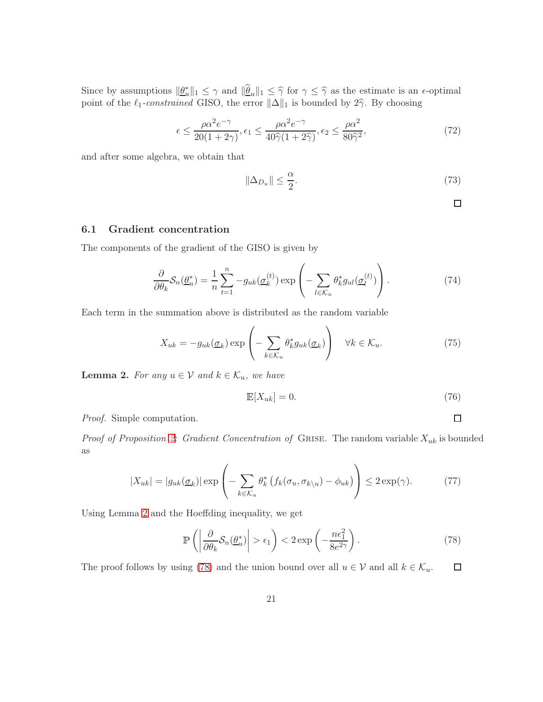Since by assumptions  $\|\underline{\theta}_u^*\|_1 \leq \gamma$  and  $\|\widehat{\theta}_u\|_1 \leq \widehat{\gamma}$  for  $\gamma \leq \widehat{\gamma}$  as the estimate is an  $\epsilon$ -optimal point of the  $\ell_1$ -constrained GISO, the error  $\|\Delta\|_1$  is bounded by  $2\hat{\gamma}$ . By choosing

$$
\epsilon \le \frac{\rho \alpha^2 e^{-\gamma}}{20(1+2\gamma)}, \epsilon_1 \le \frac{\rho \alpha^2 e^{-\gamma}}{40\hat{\gamma}(1+2\hat{\gamma})}, \epsilon_2 \le \frac{\rho \alpha^2}{80\hat{\gamma}^2},\tag{72}
$$

and after some algebra, we obtain that

$$
\|\Delta_{D_u}\| \le \frac{\alpha}{2}.\tag{73}
$$

 $\Box$ 

<span id="page-20-1"></span> $\Box$ 

### 6.1 Gradient concentration

The components of the gradient of the GISO is given by

$$
\frac{\partial}{\partial \theta_k} S_n(\underline{\theta}_u^*) = \frac{1}{n} \sum_{t=1}^n -g_{uk}(\underline{\sigma}_k^{(t)}) \exp\left(-\sum_{l \in \mathcal{K}_u} \theta_k^* g_{ul}(\underline{\sigma}_l^{(t)})\right). \tag{74}
$$

Each term in the summation above is distributed as the random variable

$$
X_{uk} = -g_{uk}(\underline{\sigma}_k) \exp\left(-\sum_{k \in \mathcal{K}_u} \theta_k^* g_{uk}(\underline{\sigma}_k)\right) \quad \forall k \in \mathcal{K}_u.
$$
 (75)

<span id="page-20-0"></span>**Lemma 2.** For any  $u \in V$  and  $k \in \mathcal{K}_u$ , we have

$$
\mathbb{E}[X_{uk}] = 0. \tag{76}
$$

Proof. Simple computation.

Proof of Proposition [2:](#page-19-0) Gradient Concentration of GRISE. The random variable  $X_{uk}$  is bounded as

$$
|X_{uk}| = |g_{uk}(\underline{\sigma}_k)| \exp\left(-\sum_{k \in \mathcal{K}_u} \theta_k^* \left(f_k(\sigma_u, \sigma_{k \setminus u}) - \phi_{uk}\right)\right) \le 2 \exp(\gamma). \tag{77}
$$

Using Lemma [2](#page-20-0) and the Hoeffding inequality, we get

$$
\mathbb{P}\left(\left|\frac{\partial}{\partial \theta_k} \mathcal{S}_n(\underline{\theta}_u^*)\right| > \epsilon_1\right) < 2 \exp\left(-\frac{n\epsilon_1^2}{8e^{2\gamma}}\right). \tag{78}
$$

The proof follows by using [\(78\)](#page-20-1) and the union bound over all  $u \in \mathcal{V}$  and all  $k \in \mathcal{K}_u$ .  $\Box$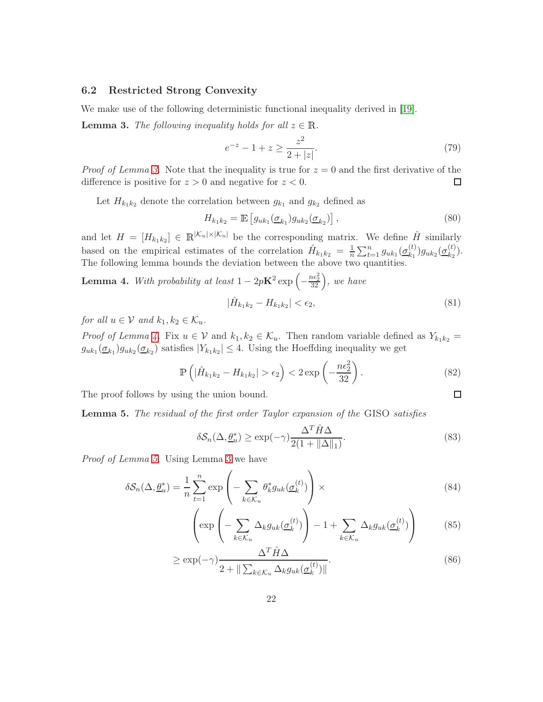#### 6.2 Restricted Strong Convexity

We make use of the following deterministic functional inequality derived in [\[19\]](#page-32-1).

<span id="page-21-0"></span>**Lemma 3.** The following inequality holds for all  $z \in \mathbb{R}$ .

$$
e^{-z} - 1 + z \ge \frac{z^2}{2 + |z|}.\tag{79}
$$

*Proof of Lemma [3.](#page-21-0)* Note that the inequality is true for  $z = 0$  and the first derivative of the difference is positive for  $z > 0$  and negative for  $z < 0$ .  $\Box$ 

Let  $H_{k_1k_2}$  denote the correlation between  $g_{k_1}$  and  $g_{k_2}$  defined as

$$
H_{k_1k_2} = \mathbb{E}\left[g_{uk_1}(\underline{\sigma}_{k_1})g_{uk_2}(\underline{\sigma}_{k_2})\right],\tag{80}
$$

and let  $H = [H_{k_1k_2}] \in \mathbb{R}^{|\mathcal{K}_u| \times |\mathcal{K}_u|}$  be the corresponding matrix. We define  $\hat{H}$  similarly based on the empirical estimates of the correlation  $\hat{H}_{k_1k_2} = \frac{1}{n} \sum_{t=1}^n g_{uk_1}(\underline{\sigma}_{k_1}^{(t)})$  $\binom{(t)}{k_1} g_{uk_2}(\underbrace{\sigma^{(t)}_{k_2}}$  $\binom{\binom{U}{2}}{k_2}$ . The following lemma bounds the deviation between the above two quantities.

<span id="page-21-1"></span>**Lemma 4.** With probability at least  $1 - 2pK^2 \exp(-\frac{1}{2}\sum_{i=1}^{n}$  $\frac{n\epsilon_2^2}{32}$ , we have  $|\hat{H}_{k_1k_2} - H_{k_1k_2}| < \epsilon_2,$  (81)

for all  $u \in V$  and  $k_1, k_2 \in \mathcal{K}_u$ .

*Proof of Lemma [4.](#page-21-1)* Fix  $u \in V$  and  $k_1, k_2 \in \mathcal{K}_u$ . Then random variable defined as  $Y_{k_1k_2} =$  $g_{uk_1}(\underline{\sigma}_{k_1})g_{uk_2}(\underline{\sigma}_{k_2})$  satisfies  $|Y_{k_1k_2}|\leq 4$ . Using the Hoeffding inequality we get

$$
\mathbb{P}\left(|\hat{H}_{k_1k_2} - H_{k_1k_2}| > \epsilon_2\right) < 2\exp\left(-\frac{n\epsilon_2^2}{32}\right). \tag{82}
$$

The proof follows by using the union bound.

<span id="page-21-2"></span>Lemma 5. The residual of the first order Taylor expansion of the GISO satisfies

$$
\delta S_n(\Delta, \underline{\theta}_u^*) \ge \exp(-\gamma) \frac{\Delta^T \hat{H} \Delta}{2(1 + \|\Delta\|_1)}.
$$
\n(83)

 $\Box$ 

Proof of Lemma [5.](#page-21-2) Using Lemma [3](#page-21-0) we have

$$
\delta \mathcal{S}_n(\Delta, \underline{\theta}_u^*) = \frac{1}{n} \sum_{t=1}^n \exp\left(-\sum_{k \in \mathcal{K}_u} \theta_k^* g_{uk}(\underline{\sigma}_k^{(t)})\right) \times \tag{84}
$$

$$
\left(\exp\left(-\sum_{k\in\mathcal{K}_u}\Delta_k g_{uk}(\underline{\sigma}_k^{(t)})\right) - 1 + \sum_{k\in\mathcal{K}_u}\Delta_k g_{uk}(\underline{\sigma}_k^{(t)})\right) \tag{85}
$$

$$
\geq \exp(-\gamma) \frac{\Delta^T \hat{H} \Delta}{2 + \|\sum_{k \in \mathcal{K}_u} \Delta_k g_{uk}(\underline{\sigma}_k^{(t)})\|}.
$$
\n(86)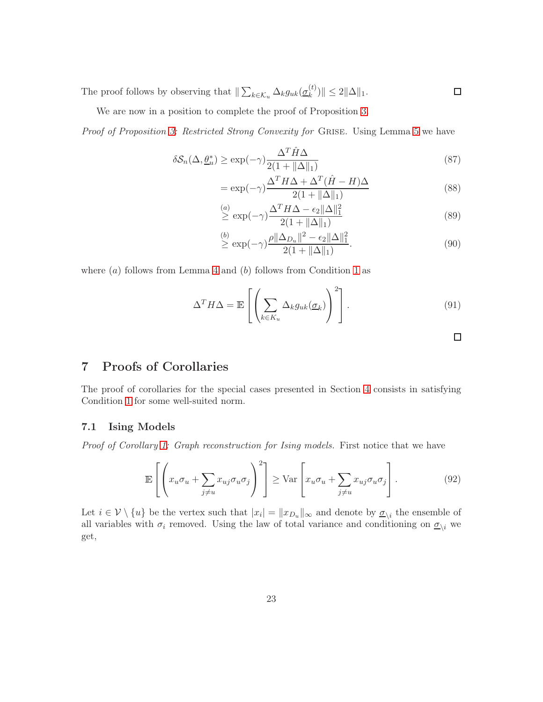The proof follows by observing that  $\| \sum_{k \in \mathcal{K}_u} \Delta_k g_{uk}(\underline{\sigma}_k^{(t)})\|$  $_{k}^{(\iota)})\| \leq 2\|\Delta\|_{1}.$  $\Box$ 

We are now in a position to complete the proof of Proposition [3.](#page-19-1)

Proof of Proposition [3:](#page-19-1) Restricted Strong Convexity for GRISE. Using Lemma [5](#page-21-2) we have

$$
\delta S_n(\Delta, \underline{\theta}_u^*) \ge \exp(-\gamma) \frac{\Delta^T \hat{H} \Delta}{2(1 + \|\Delta\|_1)}
$$
(87)

$$
= \exp(-\gamma) \frac{\Delta^T H \Delta + \Delta^T (\hat{H} - H)\Delta}{2(1 + \|\Delta\|_1)}
$$
(88)

$$
\stackrel{(a)}{\geq} \exp(-\gamma) \frac{\Delta^T H \Delta - \epsilon_2 ||\Delta||_1^2}{2(1 + ||\Delta||_1)}
$$
\n(89)

$$
\stackrel{(b)}{\geq} \exp(-\gamma) \frac{\rho ||\Delta_{D_u}||^2 - \epsilon_2 ||\Delta||_1^2}{2(1 + ||\Delta||_1)}.
$$
\n(90)

where  $(a)$  follows from Lemma [4](#page-21-1) and  $(b)$  follows from Condition [1](#page-4-1) as

$$
\Delta^T H \Delta = \mathbb{E} \left[ \left( \sum_{k \in K_u} \Delta_k g_{uk}(\underline{\sigma}_k) \right)^2 \right]. \tag{91}
$$

# 7 Proofs of Corollaries

The proof of corollaries for the special cases presented in Section [4](#page-9-0) consists in satisfying Condition [1](#page-4-1) for some well-suited norm.

#### 7.1 Ising Models

Proof of Corollary [1:](#page-10-1) Graph reconstruction for Ising models. First notice that we have

$$
\mathbb{E}\left[\left(x_u\sigma_u + \sum_{j\neq u} x_{uj}\sigma_u\sigma_j\right)^2\right] \geq \text{Var}\left[x_u\sigma_u + \sum_{j\neq u} x_{uj}\sigma_u\sigma_j\right].\tag{92}
$$

Let  $i \in \mathcal{V} \setminus \{u\}$  be the vertex such that  $|x_i| = ||x_{D_u}||_{\infty}$  and denote by  $\underline{\sigma}_{\setminus i}$  the ensemble of all variables with  $\sigma_i$  removed. Using the law of total variance and conditioning on  $\underline{\sigma}_{\setminus i}$  we get,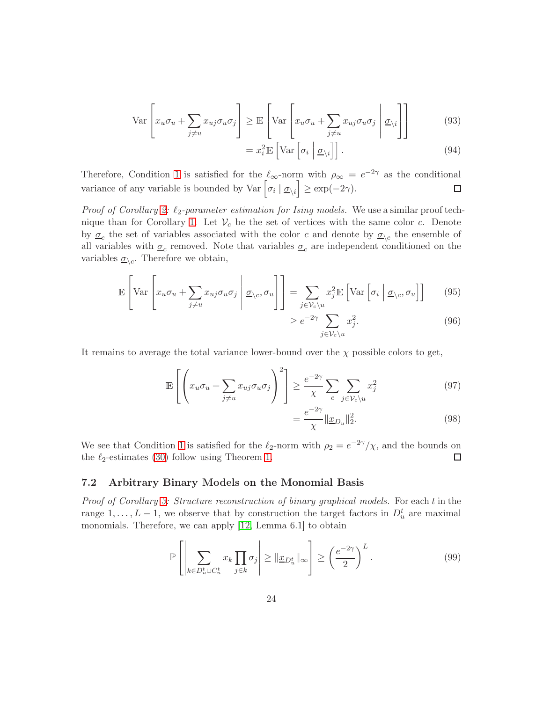$$
\text{Var}\left[x_u \sigma_u + \sum_{j \neq u} x_{uj} \sigma_u \sigma_j\right] \geq \mathbb{E}\left[\text{Var}\left[x_u \sigma_u + \sum_{j \neq u} x_{uj} \sigma_u \sigma_j \middle| \underline{\sigma}_{\setminus i}\right]\right] \tag{93}
$$

$$
= x_i^2 \mathbb{E} \left[ \text{Var} \left[ \sigma_i \mid \underline{\sigma}_{\backslash i} \right] \right]. \tag{94}
$$

Therefore, Condition [1](#page-4-1) is satisfied for the  $\ell_{\infty}$ -norm with  $\rho_{\infty} = e^{-2\gamma}$  as the conditional variance of any variable is bounded by Var  $\left[\sigma_i \mid \underline{\sigma}_{\setminus i}\right] \ge \exp(-2\gamma)$ .  $\Box$ 

*Proof of Corollary [2:](#page-11-0)*  $\ell_2$ -parameter estimation for Ising models. We use a similar proof tech-nique than for Corollary [1.](#page-10-1) Let  $V_c$  be the set of vertices with the same color c. Denote by  $\underline{\sigma}_c$  the set of variables associated with the color c and denote by  $\underline{\sigma}_{\setminus c}$  the ensemble of all variables with  $\underline{\sigma}_c$  removed. Note that variables  $\underline{\sigma}_c$  are independent conditioned on the variables  $\underline{\sigma}_{\backslash c}$ . Therefore we obtain,

$$
\mathbb{E}\left[\text{Var}\left[x_u\sigma_u + \sum_{j\neq u} x_{uj}\sigma_u\sigma_j\middle|\mathcal{Q}_{\setminus c}, \sigma_u\right]\right] = \sum_{j\in\mathcal{V}_c\setminus u} x_j^2 \mathbb{E}\left[\text{Var}\left[\sigma_i\middle|\mathcal{Q}_{\setminus c}, \sigma_u\right]\right] \tag{95}
$$

$$
\geq e^{-2\gamma} \sum_{j \in \mathcal{V}_c \backslash u} x_j^2. \tag{96}
$$

It remains to average the total variance lower-bound over the  $\chi$  possible colors to get,

$$
\mathbb{E}\left[\left(x_u\sigma_u + \sum_{j\neq u} x_{uj}\sigma_u\sigma_j\right)^2\right] \ge \frac{e^{-2\gamma}}{\chi} \sum_c \sum_{j\in\mathcal{V}_c\backslash u} x_j^2 \tag{97}
$$

$$
=\frac{e^{-2\gamma}}{\chi}||\underline{x}_{D_u}||_2^2.
$$
\n(98)

We see that Condition [1](#page-4-1) is satisfied for the  $\ell_2$ -norm with  $\rho_2 = e^{-2\gamma}/\chi$ , and the bounds on the  $\ell_2$ -estimates [\(30\)](#page-11-1) follow using Theorem [1.](#page-6-0)  $\Box$ 

### 7.2 Arbitrary Binary Models on the Monomial Basis

Proof of Corollary [3:](#page-13-2) Structure reconstruction of binary graphical models. For each t in the range  $1, \ldots, L-1$ , we observe that by construction the target factors in  $D_u^t$  are maximal monomials. Therefore, we can apply [\[12,](#page-31-7) Lemma 6.1] to obtain

$$
\mathbb{P}\left[\left|\sum_{k\in D_u^t \cup C_u^t} x_k \prod_{j\in k} \sigma_j\right| \ge \|\underline{x}_{D_u^t}\|_{\infty}\right] \ge \left(\frac{e^{-2\gamma}}{2}\right)^L. \tag{99}
$$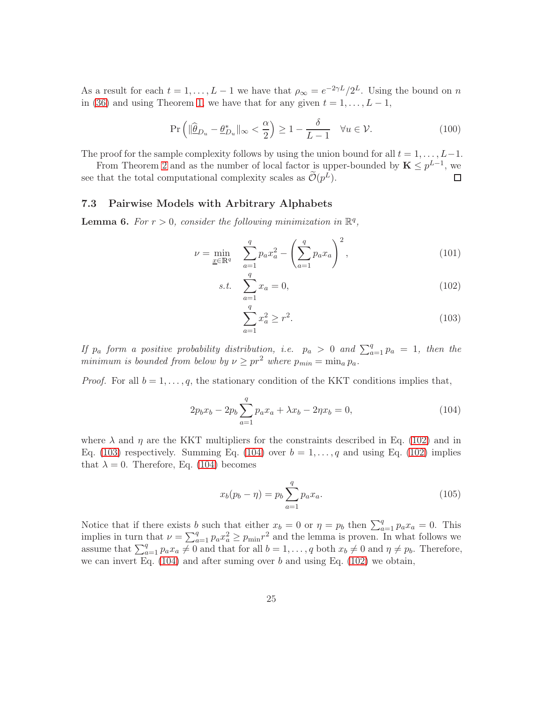As a result for each  $t = 1, ..., L - 1$  we have that  $\rho_{\infty} = e^{-2\gamma L}/2^{L}$ . Using the bound on n in [\(36\)](#page-13-3) and using Theorem [1,](#page-6-0) we have that for any given  $t = 1, \ldots, L - 1$ ,

$$
\Pr\left(\|\widehat{\underline{\theta}}_{Du} - \underline{\theta}_{Du}^*\|_{\infty} < \frac{\alpha}{2}\right) \ge 1 - \frac{\delta}{L-1} \quad \forall u \in \mathcal{V}.\tag{100}
$$

The proof for the sample complexity follows by using the union bound for all  $t = 1, \ldots, L-1$ .

From Theorem [2](#page-8-2) and as the number of local factor is upper-bounded by  $\mathbf{K} \leq p^{L-1}$ , we see that the total computational complexity scales as  $\widetilde{\mathcal{O}}(p^L)$ . □

#### 7.3 Pairwise Models with Arbitrary Alphabets

<span id="page-24-4"></span>**Lemma 6.** For  $r > 0$ , consider the following minimization in  $\mathbb{R}^q$ ,

$$
\nu = \min_{\underline{x} \in \mathbb{R}^q} \sum_{a=1}^q p_a x_a^2 - \left(\sum_{a=1}^q p_a x_a\right)^2, \tag{101}
$$

s.t. 
$$
\sum_{a=1}^{q} x_a = 0,
$$
 (102)

<span id="page-24-3"></span><span id="page-24-2"></span><span id="page-24-1"></span><span id="page-24-0"></span>
$$
\sum_{a=1}^{q} x_a^2 \ge r^2. \tag{103}
$$

If  $p_a$  form a positive probability distribution, i.e.  $p_a > 0$  and  $\sum_{a=1}^{q} p_a = 1$ , then the minimum is bounded from below by  $\nu \geq pr^2$  where  $p_{min} = \min_a p_a$ .

*Proof.* For all  $b = 1, \ldots, q$ , the stationary condition of the KKT conditions implies that,

$$
2p_bx_b - 2p_b\sum_{a=1}^q p_a x_a + \lambda x_b - 2\eta x_b = 0, \qquad (104)
$$

where  $\lambda$  and  $\eta$  are the KKT multipliers for the constraints described in Eq. [\(102\)](#page-24-0) and in Eq. [\(103\)](#page-24-1) respectively. Summing Eq. [\(104\)](#page-24-2) over  $b = 1, \ldots, q$  and using Eq. [\(102\)](#page-24-0) implies that  $\lambda = 0$ . Therefore, Eq. [\(104\)](#page-24-2) becomes

$$
x_b(p_b - \eta) = p_b \sum_{a=1}^{q} p_a x_a.
$$
 (105)

Notice that if there exists b such that either  $x_b = 0$  or  $\eta = p_b$  then  $\sum_{a=1}^{q} p_a x_a = 0$ . This implies in turn that  $\nu = \sum_{a=1}^{q} p_a x_a^2 \ge p_{\min} r^2$  and the lemma is proven. In what follows we assume that  $\sum_{a=1}^{q} p_a x_a \neq 0$  and that for all  $b = 1, \ldots, q$  both  $x_b \neq 0$  and  $\eta \neq p_b$ . Therefore, we can invert Eq.  $(104)$  and after suming over b and using Eq.  $(102)$  we obtain,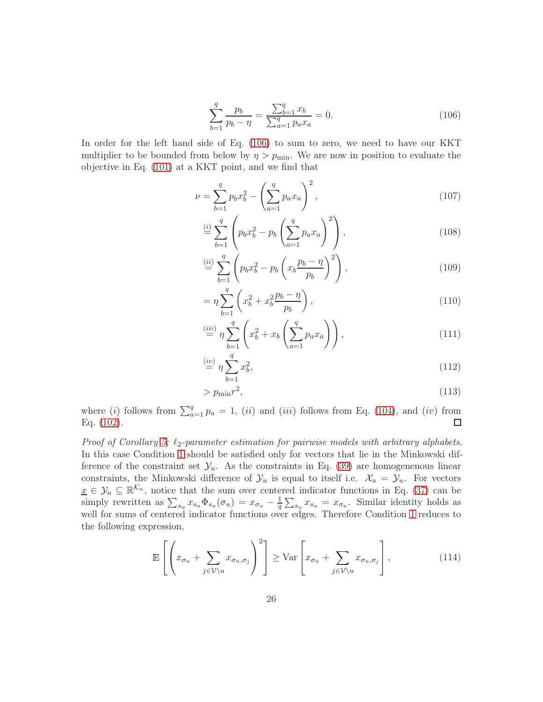<span id="page-25-0"></span>
$$
\sum_{b=1}^{q} \frac{p_b}{p_b - \eta} = \frac{\sum_{b=1}^{q} x_b}{\sum_{a=1}^{q} p_a x_a} = 0.
$$
 (106)

In order for the left hand side of Eq. [\(106\)](#page-25-0) to sum to zero, we need to have our KKT multiplier to be bounded from below by  $\eta > p_{\text{min}}$ . We are now in position to evaluate the objective in Eq. [\(101\)](#page-24-3) at a KKT point, and we find that

$$
\nu = \sum_{b=1}^{q} p_b x_b^2 - \left(\sum_{a=1}^{q} p_a x_a\right)^2,\tag{107}
$$

$$
\stackrel{(i)}{=} \sum_{b=1}^{q} \left( p_b x_b^2 - p_b \left( \sum_{a=1}^{q} p_a x_a \right)^2 \right), \tag{108}
$$

$$
\stackrel{(ii)}{=} \sum_{b=1}^{q} \left( p_b x_b^2 - p_b \left( x_b \frac{p_b - \eta}{p_b} \right)^2 \right),\tag{109}
$$

$$
= \eta \sum_{b=1}^{q} \left( x_b^2 + x_b^2 \frac{p_b - \eta}{p_b} \right), \tag{110}
$$

$$
\stackrel{(iii)}{=} \eta \sum_{b=1}^{q} \left( x_b^2 + x_b \left( \sum_{a=1}^{q} p_a x_a \right) \right),\tag{111}
$$

$$
\stackrel{(iv)}{=} \eta \sum_{b=1}^{q} x_b^2,\tag{112}
$$

<span id="page-25-1"></span>
$$
> p_{\min} r^2,\tag{113}
$$

where (i) follows from  $\sum_{a=1}^{q} p_a = 1$ , (ii) and (iii) follows from Eq. [\(104\)](#page-24-2), and (iv) from Eq. [\(102\)](#page-24-0).

Proof of Corollary [5:](#page-15-0)  $\ell_2$ -parameter estimation for pairwise models with arbitrary alphabets. In this case Condition [1](#page-4-1) should be satisfied only for vectors that lie in the Minkowski difference of the constraint set  $\mathcal{Y}_u$ . As the constraints in Eq. [\(39\)](#page-14-0) are homogenenous linear constraints, the Minkowski difference of  $\mathcal{Y}_u$  is equal to itself i.e.  $\mathcal{X}_u = \mathcal{Y}_u$ . For vectors  $\underline{x} \in \mathcal{Y}_u \subseteq \mathbb{R}^{\mathcal{K}_u}$ , notice that the sum over centered indicator functions in Eq. [\(37\)](#page-13-1) can be simply rewritten as  $\sum_{s_u} x_{s_u} \Phi_{s_u}(\sigma_u) = x_{\sigma_u} - \frac{1}{q} \sum_{s_u} x_{s_u} = x_{\sigma_u}$ . Similar identity holds as well for sums of centered indicator functions over edges. Therefore Condition [1](#page-4-1) reduces to the following expression,

$$
\mathbb{E}\left[\left(x_{\sigma_u} + \sum_{j \in \mathcal{V}\backslash u} x_{\sigma_u, \sigma_j}\right)^2\right] \ge \text{Var}\left[x_{\sigma_u} + \sum_{j \in \mathcal{V}\backslash u} x_{\sigma_u, \sigma_j}\right],\tag{114}
$$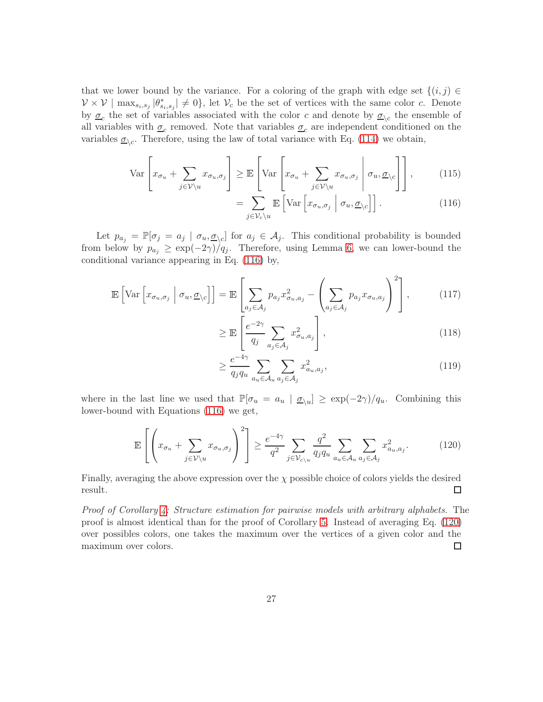that we lower bound by the variance. For a coloring of the graph with edge set  $\{(i,j) \in$  $\mathcal{V} \times \mathcal{V} \mid \max_{s_i, s_j} |\theta^*_{s_i, s_j}| \neq 0$ , let  $\mathcal{V}_c$  be the set of vertices with the same color c. Denote by  $\underline{\sigma}_c$  the set of variables associated with the color c and denote by  $\underline{\sigma}_{\setminus c}$  the ensemble of all variables with  $\underline{\sigma}_c$  removed. Note that variables  $\underline{\sigma}_c$  are independent conditioned on the variables  $\underline{\sigma}_{\backslash c}$ . Therefore, using the law of total variance with Eq. [\(114\)](#page-25-1) we obtain,

$$
\operatorname{Var}\left[x_{\sigma_u} + \sum_{j \in \mathcal{V} \setminus u} x_{\sigma_u, \sigma_j}\right] \ge \mathbb{E}\left[\operatorname{Var}\left[x_{\sigma_u} + \sum_{j \in \mathcal{V} \setminus u} x_{\sigma_u, \sigma_j} \middle| \sigma_u, \underline{\sigma}_{\setminus c}\right]\right],\tag{115}
$$

<span id="page-26-0"></span>
$$
= \sum_{j \in \mathcal{V}_c \setminus u} \mathbb{E}\left[\text{Var}\left[x_{\sigma_u, \sigma_j} \middle| \sigma_u, \underline{\sigma}_c\right]\right]. \tag{116}
$$

Let  $p_{a_j} = \mathbb{P}[\sigma_j = a_j \mid \sigma_u, \underline{\sigma}_{\setminus c}]$  for  $a_j \in \mathcal{A}_j$ . This conditional probability is bounded from below by  $p_{a_j} \geq \exp(-2\gamma)/q_j$ . Therefore, using Lemma [6,](#page-24-4) we can lower-bound the conditional variance appearing in Eq. [\(116\)](#page-26-0) by,

$$
\mathbb{E}\left[\text{Var}\left[x_{\sigma_u,\sigma_j} \middle| \sigma_u, \underline{\sigma}_{\setminus c}\right]\right] = \mathbb{E}\left[\sum_{a_j \in \mathcal{A}_j} p_{a_j} x_{\sigma_u, a_j}^2 - \left(\sum_{a_j \in \mathcal{A}_j} p_{a_j} x_{\sigma_u, a_j}\right)^2\right],\tag{117}
$$

$$
\geq \mathbb{E}\left[\frac{e^{-2\gamma}}{q_j}\sum_{a_j\in\mathcal{A}_j}x_{\sigma_u,a_j}^2\right],\tag{118}
$$

<span id="page-26-1"></span>
$$
\geq \frac{e^{-4\gamma}}{q_j q_u} \sum_{a_u \in \mathcal{A}_u} \sum_{a_j \in \mathcal{A}_j} x_{a_u, a_j}^2,
$$
\n(119)

where in the last line we used that  $\mathbb{P}[\sigma_u = a_u \mid \underline{\sigma}_{\setminus u}] \ge \exp(-2\gamma)/q_u$ . Combining this lower-bound with Equations [\(116\)](#page-26-0) we get,

$$
\mathbb{E}\left[\left(x_{\sigma_u} + \sum_{j\in\mathcal{V}\backslash u} x_{\sigma_u,\sigma_j}\right)^2\right] \ge \frac{e^{-4\gamma}}{q^2} \sum_{j\in\mathcal{V}_{c\backslash u}} \frac{q^2}{q_j q_u} \sum_{a_u \in \mathcal{A}_u} \sum_{a_j \in \mathcal{A}_j} x_{a_u,a_j}^2. \tag{120}
$$

Finally, averaging the above expression over the  $\chi$  possible choice of colors yields the desired result.  $\Box$ 

Proof of Corollary [4:](#page-14-1) Structure estimation for pairwise models with arbitrary alphabets. The proof is almost identical than for the proof of Corollary [5.](#page-15-0) Instead of averaging Eq. [\(120\)](#page-26-1) over possibles colors, one takes the maximum over the vertices of a given color and the maximum over colors. □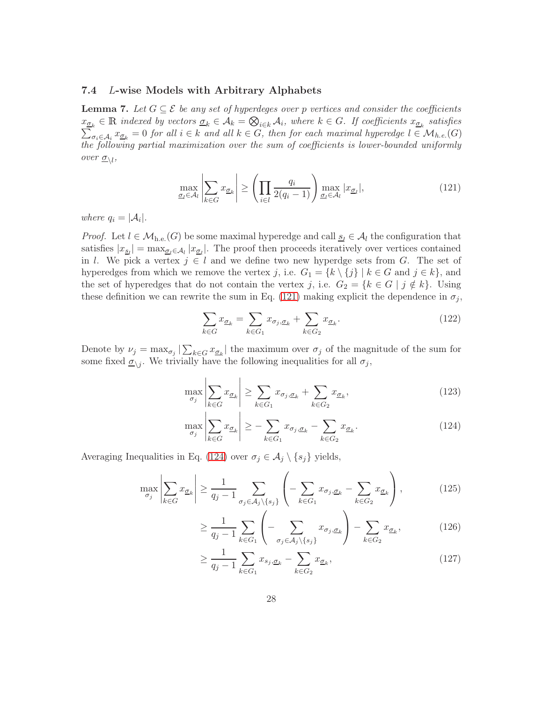#### <span id="page-27-0"></span>7.4 L-wise Models with Arbitrary Alphabets

<span id="page-27-7"></span>**Lemma 7.** Let  $G \subseteq \mathcal{E}$  be any set of hyperdeges over p vertices and consider the coefficients  $x_{\underline{\sigma}_k} \in \mathbb{R}$  indexed by vectors  $\underline{\sigma}_k \in \mathcal{A}_k = \bigotimes_{i \in k} \mathcal{A}_i$ , where  $k \in G$ . If coefficients  $x_{\underline{\sigma}_k}$  satisfies  $\sum_{i \in A} x_{\sigma_i} = 0$  for all  $i \in k$  and all  $k \in G$ , then for each maximal hyperedge  $l \in \mathcal{M$  $\sigma_i \in A_i$   $x_{\sigma_k} = 0$  for all  $i \in k$  and all  $k \in G$ , then for each maximal hyperedge  $l \in \mathcal{M}_{h.e.}(G)$ the following partial maximization over the sum of coefficients is lower-bounded uniformly over  $\underline{\sigma}_{\backslash l}$ ,

<span id="page-27-1"></span>
$$
\max_{\underline{\sigma}_l \in \mathcal{A}_l} \left| \sum_{k \in G} x_{\underline{\sigma}_k} \right| \ge \left( \prod_{i \in l} \frac{q_i}{2(q_i - 1)} \right) \max_{\underline{\sigma}_l \in \mathcal{A}_l} |x_{\underline{\sigma}_l}|,\tag{121}
$$

where  $q_i = |\mathcal{A}_i|$ .

*Proof.* Let  $l \in \mathcal{M}_{h.e.}(G)$  be some maximal hyperedge and call  $s_l \in \mathcal{A}_l$  the configuration that satisfies  $|x_{\underline{s}_l}| = \max_{\underline{\sigma}_l \in \mathcal{A}_l} |x_{\underline{\sigma}_l}|$ . The proof then proceeds iteratively over vertices contained in l. We pick a vertex  $j \in l$  and we define two new hyperdge sets from G. The set of hyperedges from which we remove the vertex j, i.e.  $G_1 = \{k \setminus \{j\} | k \in G \text{ and } j \in k\}$ , and the set of hyperedges that do not contain the vertex j, i.e.  $G_2 = \{k \in G \mid j \notin k\}$ . Using these definition we can rewrite the sum in Eq. [\(121\)](#page-27-1) making explicit the dependence in  $\sigma_j$ ,

<span id="page-27-6"></span><span id="page-27-5"></span>
$$
\sum_{k \in G} x_{\underline{\sigma}_k} = \sum_{k \in G_1} x_{\sigma_j, \underline{\sigma}_k} + \sum_{k \in G_2} x_{\underline{\sigma}_k}.
$$
\n(122)

Denote by  $\nu_j = \max_{\sigma_j} |\sum_{k \in G} x_{\underline{\sigma}_k}|$  the maximum over  $\sigma_j$  of the magnitude of the sum for some fixed  $\underline{\sigma}_{\backslash j}$ . We trivially have the following inequalities for all  $\sigma_j$ ,

$$
\max_{\sigma_j} \left| \sum_{k \in G} x_{\sigma_k} \right| \ge \sum_{k \in G_1} x_{\sigma_j, \sigma_k} + \sum_{k \in G_2} x_{\sigma_k},\tag{123}
$$

<span id="page-27-2"></span>
$$
\max_{\sigma_j} \left| \sum_{k \in G} x_{\underline{\sigma}_k} \right| \ge - \sum_{k \in G_1} x_{\sigma_j, \underline{\sigma}_k} - \sum_{k \in G_2} x_{\underline{\sigma}_k}.
$$
\n(124)

Averaging Inequalities in Eq. [\(124\)](#page-27-2) over  $\sigma_j \in \mathcal{A}_j \setminus \{s_j\}$  yields,

$$
\max_{\sigma_j} \left| \sum_{k \in G} x_{\underline{\sigma}_k} \right| \ge \frac{1}{q_j - 1} \sum_{\sigma_j \in \mathcal{A}_j \setminus \{s_j\}} \left( - \sum_{k \in G_1} x_{\sigma_j, \underline{\sigma}_k} - \sum_{k \in G_2} x_{\underline{\sigma}_k} \right),\tag{125}
$$

$$
\geq \frac{1}{q_j - 1} \sum_{k \in G_1} \left( - \sum_{\sigma_j \in \mathcal{A}_j \setminus \{s_j\}} x_{\sigma_j, \underline{\sigma}_k} \right) - \sum_{k \in G_2} x_{\underline{\sigma}_k},\tag{126}
$$

<span id="page-27-4"></span><span id="page-27-3"></span>
$$
\geq \frac{1}{q_j - 1} \sum_{k \in G_1} x_{s_j, \underline{\sigma}_k} - \sum_{k \in G_2} x_{\underline{\sigma}_k},
$$
\n(127)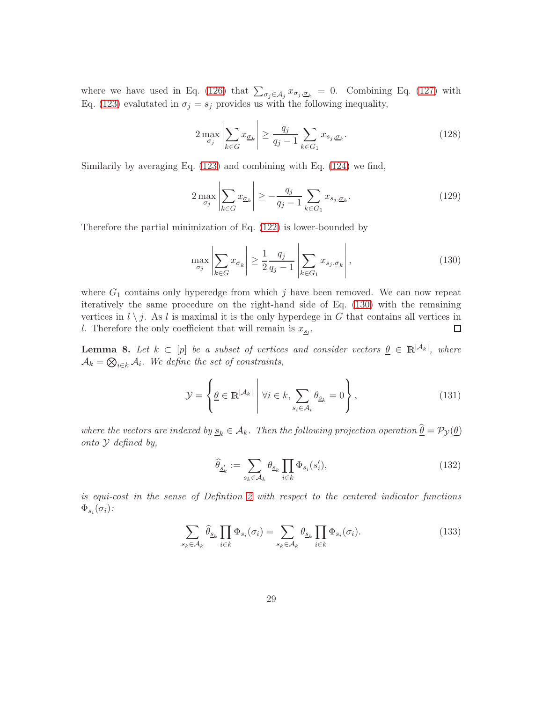where we have used in Eq. [\(126\)](#page-27-3) that  $\sum_{\sigma_j \in A_j} x_{\sigma_j, \sigma_k} = 0$ . Combining Eq. [\(127\)](#page-27-4) with Eq. [\(123\)](#page-27-5) evalutated in  $\sigma_j = s_j$  provides us with the following inequality,

$$
2\max_{\sigma_j} \left| \sum_{k \in G} x_{\underline{\sigma}_k} \right| \ge \frac{q_j}{q_j - 1} \sum_{k \in G_1} x_{s_j, \underline{\sigma}_k}.\tag{128}
$$

Similarily by averaging Eq. [\(123\)](#page-27-5) and combining with Eq. [\(124\)](#page-27-2) we find,

$$
2\max_{\sigma_j} \left| \sum_{k \in G} x_{\underline{\sigma}_k} \right| \ge -\frac{q_j}{q_j - 1} \sum_{k \in G_1} x_{s_j, \underline{\sigma}_k}.\tag{129}
$$

Therefore the partial minimization of Eq. [\(122\)](#page-27-6) is lower-bounded by

<span id="page-28-1"></span>
$$
\max_{\sigma_j} \left| \sum_{k \in G} x_{\underline{\sigma}_k} \right| \ge \frac{1}{2} \frac{q_j}{q_j - 1} \left| \sum_{k \in G_1} x_{s_j, \underline{\sigma}_k} \right|,\tag{130}
$$

where  $G_1$  contains only hyperedge from which j have been removed. We can now repeat iteratively the same procedure on the right-hand side of Eq. [\(130\)](#page-28-1) with the remaining vertices in  $l \setminus j$ . As l is maximal it is the only hyperdege in G that contains all vertices in l. Therefore the only coefficient that will remain is  $x_{\epsilon}$ . l. Therefore the only coefficient that will remain is  $x_{\underline{s}_l}$ .

<span id="page-28-0"></span>**Lemma 8.** Let  $k \subset [p]$  be a subset of vertices and consider vectors  $\underline{\theta} \in \mathbb{R}^{|\mathcal{A}_k|}$ , where  $A_k = \bigotimes_{i \in k} A_i$ . We define the set of constraints,

$$
\mathcal{Y} = \left\{ \underline{\theta} \in \mathbb{R}^{|\mathcal{A}_k|} \; \middle| \; \forall i \in k, \sum_{s_i \in \mathcal{A}_i} \theta_{\underline{s}_k} = 0 \right\},\tag{131}
$$

where the vectors are indexed by  $\underline{s}_k \in A_k$ . Then the following projection operation  $\hat{\theta} = \mathcal{P}_{\mathcal{Y}}(\theta)$ onto Y defined by,

<span id="page-28-2"></span>
$$
\widehat{\theta}_{\underline{s}'_k} := \sum_{s_k \in \mathcal{A}_k} \theta_{\underline{s}_k} \prod_{i \in k} \Phi_{s_i}(s'_i),\tag{132}
$$

is equi-cost in the sense of Defintion [2](#page-6-3) with respect to the centered indicator functions  $\Phi_{s_i}(\sigma_i)$  :

$$
\sum_{s_k \in \mathcal{A}_k} \hat{\theta}_{\underline{s}_k} \prod_{i \in k} \Phi_{s_i}(\sigma_i) = \sum_{s_k \in \mathcal{A}_k} \theta_{\underline{s}_k} \prod_{i \in k} \Phi_{s_i}(\sigma_i). \tag{133}
$$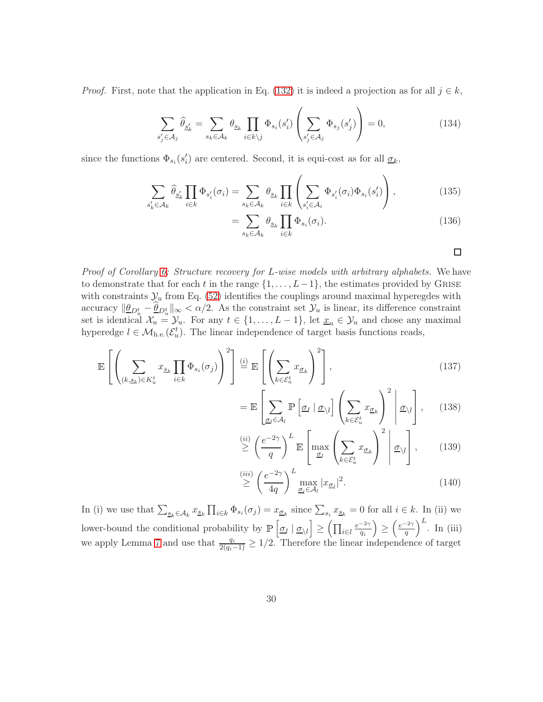*Proof.* First, note that the application in Eq. [\(132\)](#page-28-2) it is indeed a projection as for all  $j \in k$ ,

$$
\sum_{s'_j \in \mathcal{A}_j} \hat{\theta}_{\underline{s}'_k} = \sum_{s_k \in \mathcal{A}_k} \theta_{\underline{s}_k} \prod_{i \in k \backslash j} \Phi_{s_i}(s'_i) \left( \sum_{s'_j \in \mathcal{A}_j} \Phi_{s_j}(s'_j) \right) = 0, \tag{134}
$$

since the functions  $\Phi_{s_i}(s'_i)$  are centered. Second, it is equi-cost as for all  $\underline{\sigma}_k$ ,

$$
\sum_{s'_k \in \mathcal{A}_k} \hat{\theta}_{\underline{s'_k}} \prod_{i \in k} \Phi_{s'_i}(\sigma_i) = \sum_{s_k \in \mathcal{A}_k} \theta_{\underline{s}_k} \prod_{i \in k} \left( \sum_{s'_i \in \mathcal{A}_i} \Phi_{s'_i}(\sigma_i) \Phi_{s_i}(s'_i) \right), \tag{135}
$$

$$
=\sum_{s_k\in\mathcal{A}_k}\theta_{\underline{s}_k}\prod_{i\in k}\Phi_{s_i}(\sigma_i).
$$
\n(136)

Proof of Corollary [6:](#page-17-1) Structure recovery for L-wise models with arbitrary alphabets. We have to demonstrate that for each t in the range  $\{1, \ldots, L-1\}$ , the estimates provided by GRISE with constraints  $\mathcal{Y}_u$  from Eq. [\(52\)](#page-16-2) identifies the couplings around maximal hyperegdes with accuracy  $\|\underline{\theta}_{D_u^t} - \underline{\theta}_{D_u^t}\|_{\infty} < \alpha/2$ . As the constraint set  $\mathcal{Y}_u$  is linear, its difference constraint set is identical  $\mathcal{X}_u = \mathcal{Y}_u$ . For any  $t \in \{1, \ldots, L-1\}$ , let  $\underline{x}_u \in \mathcal{Y}_u$  and chose any maximal hyperedge  $l \in \mathcal{M}_{h,e}(\mathcal{E}_u^t)$ . The linear independence of target basis functions reads,

$$
\mathbb{E}\left[\left(\sum_{(k,\underline{s}_k)\in K_u^t} x_{\underline{s}_k} \prod_{i\in k} \Phi_{s_i}(\sigma_j)\right)^2\right] \stackrel{(i)}{=} \mathbb{E}\left[\left(\sum_{k\in \mathcal{E}_u^t} x_{\underline{\sigma}_k}\right)^2\right],\tag{137}
$$

$$
= \mathbb{E}\left[\sum_{\underline{\sigma}_{l}\in\mathcal{A}_{l}}\mathbb{P}\left[\underline{\sigma}_{l} \mid \underline{\sigma}_{\setminus l}\right]\left(\sum_{k\in\mathcal{E}_{u}^{t}}x_{\underline{\sigma}_{k}}\right)^{2}\middle|\underline{\sigma}_{\setminus l}\right],\qquad(138)
$$

$$
\stackrel{(ii)}{\geq} \left(\frac{e^{-2\gamma}}{q}\right)^L \mathbb{E}\left[\max_{\underline{\sigma}_l} \left(\sum_{k \in \mathcal{E}_u^t} x_{\underline{\sigma}_k}\right)^2 \middle| \underline{\sigma}_{\setminus l} \right],\qquad(139)
$$

$$
\stackrel{(iii)}{\geq} \left(\frac{e^{-2\gamma}}{4q}\right)^L \max_{\underline{\sigma}_l \in \mathcal{A}_l} |x_{\underline{\sigma}_l}|^2. \tag{140}
$$

In (i) we use that  $\sum_{\underline{s}_k \in A_k} x_{\underline{s}_k} \prod_{i \in k} \Phi_{s_i}(\sigma_i) = x_{\underline{\sigma}_k}$  since  $\sum_{s_i} x_{\underline{s}_k} = 0$  for all  $i \in k$ . In (ii) we lower-bound the conditional probability by  $\mathbb{P}\left[\underline{\sigma}_l | \underline{\sigma}_{\setminus l}\right]$  $\geq \left( \prod_{i \in l} \frac{e^{-2\gamma}}{q_i} \right)$ qi  $\overline{ }$ ≥  $\int e^{-2\gamma}$ q  $\Big)^L$ . In (iii) we apply Lemma [7](#page-27-7) and use that  $\frac{q_i}{2(q_i-1)} \geq 1/2$ . Therefore the linear independence of target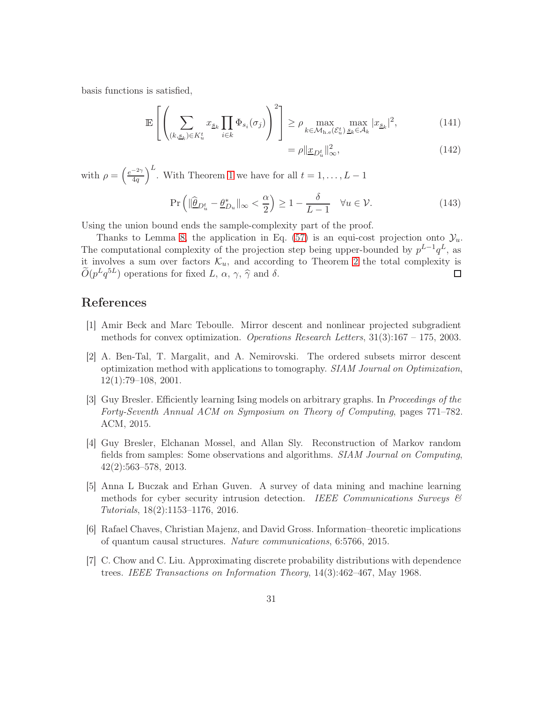basis functions is satisfied,

$$
\mathbb{E}\left[\left(\sum_{(k,\underline{s}_k)\in K_u^t} x_{\underline{s}_k} \prod_{i\in k} \Phi_{s_i}(\sigma_j)\right)^2\right] \ge \rho \max_{k\in \mathcal{M}_{\text{h.e}}(\mathcal{E}_u^t)} \max_{\underline{s}_k \in \mathcal{A}_k} |x_{\underline{s}_k}|^2,\tag{141}
$$

$$
= \rho \| \underline{x}_{D_u^t} \|_{\infty}^2, \tag{142}
$$

with  $\rho = \left(\frac{e^{-2\gamma}}{4a}\right)$  $4q$  $\bigg)^{L}$ . With Theorem [1](#page-6-0) we have for all  $t = 1, \ldots, L - 1$ 

$$
\Pr\left(\|\widehat{\underline{\theta}}_{D_u^t} - \underline{\theta}_{D_u}^*\|_{\infty} < \frac{\alpha}{2}\right) \ge 1 - \frac{\delta}{L-1} \quad \forall u \in \mathcal{V}.\tag{143}
$$

Using the union bound ends the sample-complexity part of the proof.

Thanks to Lemma [8,](#page-28-0) the application in Eq. [\(57\)](#page-16-3) is an equi-cost projection onto  $\mathcal{Y}_u$ . The computational complexity of the projection step being upper-bounded by  $p^{L-1}q^L$ , as it involves a sum over factors  $\mathcal{K}_u$ , and according to Theorem [2](#page-8-2) the total complexity is  $\tilde{O}(p^Lq^{5L})$  operations for fixed L,  $\alpha$ ,  $\gamma$ ,  $\hat{\gamma}$  and  $\delta$ .  $\tilde{O}(p^Lq^{5L})$  operations for fixed L,  $\alpha$ ,  $\gamma$ ,  $\hat{\gamma}$  and  $\delta$ .

## <span id="page-30-5"></span>References

- <span id="page-30-6"></span>[1] Amir Beck and Marc Teboulle. Mirror descent and nonlinear projected subgradient methods for convex optimization. Operations Research Letters, 31(3):167 – 175, 2003.
- [2] A. Ben-Tal, T. Margalit, and A. Nemirovski. The ordered subsets mirror descent optimization method with applications to tomography. SIAM Journal on Optimization, 12(1):79–108, 2001.
- <span id="page-30-4"></span>[3] Guy Bresler. Efficiently learning Ising models on arbitrary graphs. In Proceedings of the Forty-Seventh Annual ACM on Symposium on Theory of Computing, pages 771–782. ACM, 2015.
- <span id="page-30-3"></span>[4] Guy Bresler, Elchanan Mossel, and Allan Sly. Reconstruction of Markov random fields from samples: Some observations and algorithms. SIAM Journal on Computing, 42(2):563–578, 2013.
- <span id="page-30-1"></span>[5] Anna L Buczak and Erhan Guven. A survey of data mining and machine learning methods for cyber security intrusion detection. IEEE Communications Surveys  $\mathcal{C}$ Tutorials, 18(2):1153–1176, 2016.
- <span id="page-30-2"></span><span id="page-30-0"></span>[6] Rafael Chaves, Christian Majenz, and David Gross. Information–theoretic implications of quantum causal structures. Nature communications, 6:5766, 2015.
- [7] C. Chow and C. Liu. Approximating discrete probability distributions with dependence trees. IEEE Transactions on Information Theory, 14(3):462–467, May 1968.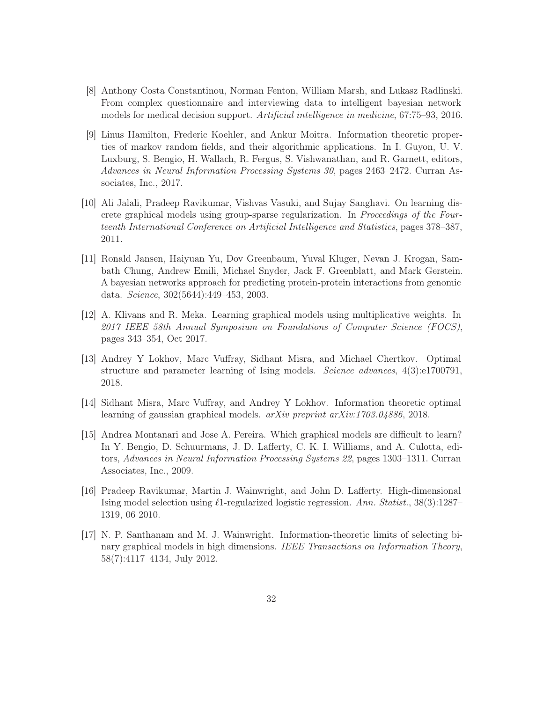- <span id="page-31-1"></span>[8] Anthony Costa Constantinou, Norman Fenton, William Marsh, and Lukasz Radlinski. From complex questionnaire and interviewing data to intelligent bayesian network models for medical decision support. Artificial intelligence in medicine, 67:75–93, 2016.
- <span id="page-31-6"></span>[9] Linus Hamilton, Frederic Koehler, and Ankur Moitra. Information theoretic properties of markov random fields, and their algorithmic applications. In I. Guyon, U. V. Luxburg, S. Bengio, H. Wallach, R. Fergus, S. Vishwanathan, and R. Garnett, editors, Advances in Neural Information Processing Systems 30, pages 2463–2472. Curran Associates, Inc., 2017.
- <span id="page-31-8"></span>[10] Ali Jalali, Pradeep Ravikumar, Vishvas Vasuki, and Sujay Sanghavi. On learning discrete graphical models using group-sparse regularization. In Proceedings of the Fourteenth International Conference on Artificial Intelligence and Statistics, pages 378–387, 2011.
- <span id="page-31-0"></span>[11] Ronald Jansen, Haiyuan Yu, Dov Greenbaum, Yuval Kluger, Nevan J. Krogan, Sambath Chung, Andrew Emili, Michael Snyder, Jack F. Greenblatt, and Mark Gerstein. A bayesian networks approach for predicting protein-protein interactions from genomic data. Science, 302(5644):449–453, 2003.
- <span id="page-31-7"></span>[12] A. Klivans and R. Meka. Learning graphical models using multiplicative weights. In 2017 IEEE 58th Annual Symposium on Foundations of Computer Science (FOCS), pages 343–354, Oct 2017.
- <span id="page-31-5"></span>[13] Andrey Y Lokhov, Marc Vuffray, Sidhant Misra, and Michael Chertkov. Optimal structure and parameter learning of Ising models. Science advances, 4(3):e1700791, 2018.
- <span id="page-31-9"></span><span id="page-31-3"></span>[14] Sidhant Misra, Marc Vuffray, and Andrey Y Lokhov. Information theoretic optimal learning of gaussian graphical models. arXiv preprint arXiv:1703.04886, 2018.
- [15] Andrea Montanari and Jose A. Pereira. Which graphical models are difficult to learn? In Y. Bengio, D. Schuurmans, J. D. Lafferty, C. K. I. Williams, and A. Culotta, editors, Advances in Neural Information Processing Systems 22, pages 1303–1311. Curran Associates, Inc., 2009.
- <span id="page-31-2"></span>[16] Pradeep Ravikumar, Martin J. Wainwright, and John D. Lafferty. High-dimensional Ising model selection using ℓ1-regularized logistic regression. Ann. Statist., 38(3):1287– 1319, 06 2010.
- <span id="page-31-4"></span>[17] N. P. Santhanam and M. J. Wainwright. Information-theoretic limits of selecting binary graphical models in high dimensions. IEEE Transactions on Information Theory, 58(7):4117–4134, July 2012.